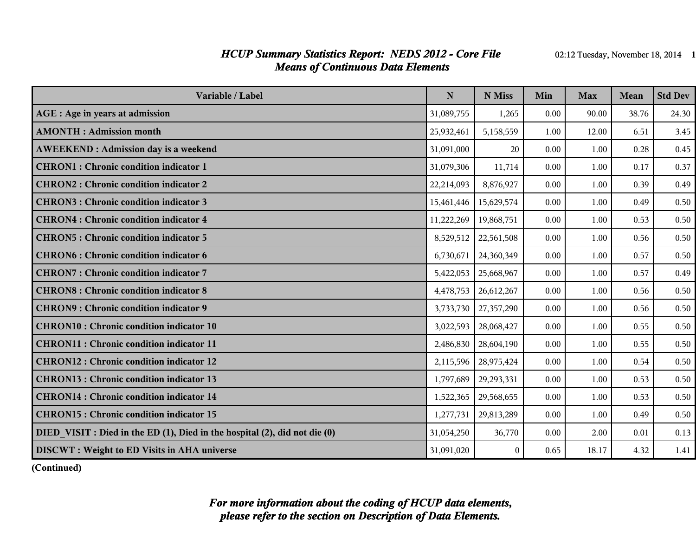#### *HCUP Summary Statistics Report: NEDS 2012 - Core File* 02:12 Tuesday, November 18, 2014 1 *Means of Continuous Data Elements*

| Variable / Label                                                           | N          | N Miss     | Min  | <b>Max</b> | Mean  | <b>Std Dev</b> |
|----------------------------------------------------------------------------|------------|------------|------|------------|-------|----------------|
| <b>AGE</b> : Age in years at admission                                     | 31,089,755 | 1,265      | 0.00 | 90.00      | 38.76 | 24.30          |
| <b>AMONTH: Admission month</b>                                             | 25,932,461 | 5,158,559  | 1.00 | 12.00      | 6.51  | 3.45           |
| <b>AWEEKEND: Admission day is a weekend</b>                                | 31,091,000 | 20         | 0.00 | 1.00       | 0.28  | 0.45           |
| <b>CHRON1</b> : Chronic condition indicator 1                              | 31,079,306 | 11,714     | 0.00 | 1.00       | 0.17  | 0.37           |
| <b>CHRON2: Chronic condition indicator 2</b>                               | 22,214,093 | 8,876,927  | 0.00 | 1.00       | 0.39  | 0.49           |
| <b>CHRON3: Chronic condition indicator 3</b>                               | 15,461,446 | 15,629,574 | 0.00 | 1.00       | 0.49  | 0.50           |
| <b>CHRON4: Chronic condition indicator 4</b>                               | 11,222,269 | 19,868,751 | 0.00 | 1.00       | 0.53  | 0.50           |
| <b>CHRON5: Chronic condition indicator 5</b>                               | 8,529,512  | 22,561,508 | 0.00 | 1.00       | 0.56  | 0.50           |
| <b>CHRON6: Chronic condition indicator 6</b>                               | 6,730,671  | 24,360,349 | 0.00 | 1.00       | 0.57  | 0.50           |
| <b>CHRON7: Chronic condition indicator 7</b>                               | 5,422,053  | 25,668,967 | 0.00 | 1.00       | 0.57  | 0.49           |
| <b>CHRON8</b> : Chronic condition indicator 8                              | 4,478,753  | 26,612,267 | 0.00 | 1.00       | 0.56  | 0.50           |
| <b>CHRON9: Chronic condition indicator 9</b>                               | 3,733,730  | 27,357,290 | 0.00 | 1.00       | 0.56  | 0.50           |
| <b>CHRON10: Chronic condition indicator 10</b>                             | 3,022,593  | 28,068,427 | 0.00 | 1.00       | 0.55  | 0.50           |
| <b>CHRON11: Chronic condition indicator 11</b>                             | 2,486,830  | 28,604,190 | 0.00 | 1.00       | 0.55  | 0.50           |
| <b>CHRON12: Chronic condition indicator 12</b>                             | 2,115,596  | 28,975,424 | 0.00 | 1.00       | 0.54  | 0.50           |
| <b>CHRON13 : Chronic condition indicator 13</b>                            | 1,797,689  | 29,293,331 | 0.00 | 1.00       | 0.53  | 0.50           |
| <b>CHRON14: Chronic condition indicator 14</b>                             | 1,522,365  | 29,568,655 | 0.00 | 1.00       | 0.53  | 0.50           |
| <b>CHRON15: Chronic condition indicator 15</b>                             | 1,277,731  | 29,813,289 | 0.00 | 1.00       | 0.49  | 0.50           |
| DIED VISIT : Died in the ED (1), Died in the hospital (2), did not die (0) | 31,054,250 | 36,770     | 0.00 | 2.00       | 0.01  | 0.13           |
| <b>DISCWT</b> : Weight to ED Visits in AHA universe                        | 31,091,020 | $\Omega$   | 0.65 | 18.17      | 4.32  | 1.41           |

**(Continued)**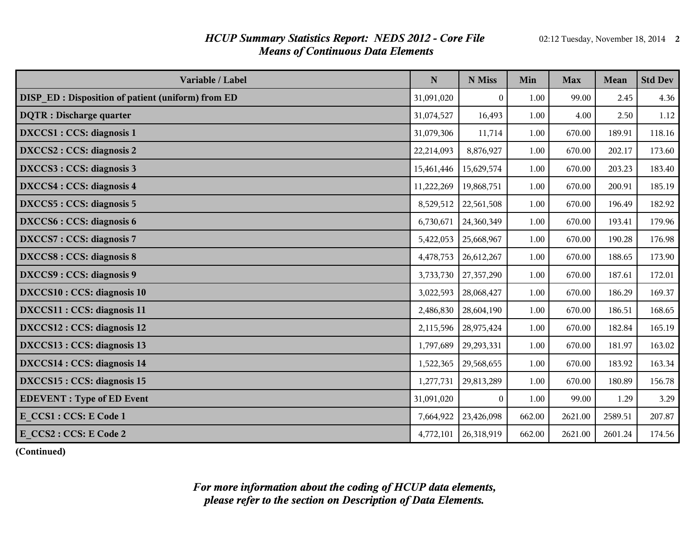#### *HCUP Summary Statistics Report: NEDS 2012 - Core File* 02:12 Tuesday, November 18, 2014 2 *Means of Continuous Data Elements*

| Variable / Label                                         | ${\bf N}$  | N Miss                 | Min    | <b>Max</b> | Mean    | <b>Std Dev</b> |
|----------------------------------------------------------|------------|------------------------|--------|------------|---------|----------------|
| <b>DISP ED: Disposition of patient (uniform) from ED</b> | 31,091,020 | $\bf{0}$               | 1.00   | 99.00      | 2.45    | 4.36           |
| <b>DQTR</b> : Discharge quarter                          | 31,074,527 | 16,493                 | 1.00   | 4.00       | 2.50    | 1.12           |
| DXCCS1 : CCS: diagnosis 1                                | 31,079,306 | 11,714                 | 1.00   | 670.00     | 189.91  | 118.16         |
| DXCCS2 : CCS: diagnosis 2                                | 22,214,093 | 8,876,927              | 1.00   | 670.00     | 202.17  | 173.60         |
| DXCCS3 : CCS: diagnosis 3                                | 15,461,446 | 15,629,574             | 1.00   | 670.00     | 203.23  | 183.40         |
| DXCCS4 : CCS: diagnosis 4                                | 11,222,269 | 19,868,751             | 1.00   | 670.00     | 200.91  | 185.19         |
| DXCCS5 : CCS: diagnosis 5                                | 8,529,512  | 22,561,508             | 1.00   | 670.00     | 196.49  | 182.92         |
| DXCCS6 : CCS: diagnosis 6                                | 6,730,671  | 24,360,349             | 1.00   | 670.00     | 193.41  | 179.96         |
| DXCCS7: CCS: diagnosis 7                                 | 5,422,053  | 25,668,967             | 1.00   | 670.00     | 190.28  | 176.98         |
| DXCCS8 : CCS: diagnosis 8                                | 4,478,753  | 26,612,267             | 1.00   | 670.00     | 188.65  | 173.90         |
| DXCCS9 : CCS: diagnosis 9                                | 3,733,730  | 27,357,290             | 1.00   | 670.00     | 187.61  | 172.01         |
| DXCCS10 : CCS: diagnosis 10                              | 3,022,593  | 28,068,427             | 1.00   | 670.00     | 186.29  | 169.37         |
| DXCCS11 : CCS: diagnosis 11                              | 2,486,830  | 28,604,190             | 1.00   | 670.00     | 186.51  | 168.65         |
| DXCCS12 : CCS: diagnosis 12                              | 2,115,596  | 28,975,424             | 1.00   | 670.00     | 182.84  | 165.19         |
| DXCCS13 : CCS: diagnosis 13                              | 1,797,689  | 29, 293, 331           | 1.00   | 670.00     | 181.97  | 163.02         |
| DXCCS14 : CCS: diagnosis 14                              | 1,522,365  | 29,568,655             | 1.00   | 670.00     | 183.92  | 163.34         |
| DXCCS15 : CCS: diagnosis 15                              | 1,277,731  | 29,813,289             | 1.00   | 670.00     | 180.89  | 156.78         |
| <b>EDEVENT</b> : Type of ED Event                        | 31,091,020 | $\theta$               | 1.00   | 99.00      | 1.29    | 3.29           |
| E CCS1 : CCS: E Code 1                                   | 7,664,922  | 23,426,098             | 662.00 | 2621.00    | 2589.51 | 207.87         |
| E CCS2 : CCS: E Code 2                                   |            | 4,772,101   26,318,919 | 662.00 | 2621.00    | 2601.24 | 174.56         |

**(Continued)**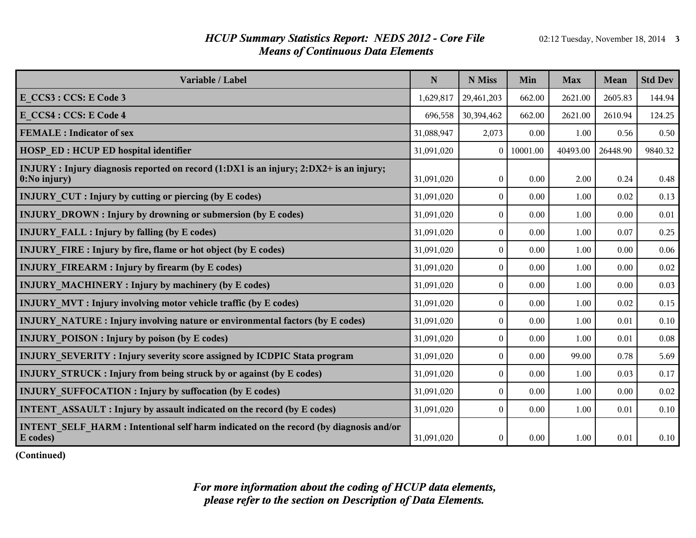#### *HCUP Summary Statistics Report: NEDS 2012 - Core File* 02:12 Tuesday, November 18, 2014 3 *Means of Continuous Data Elements*

| Variable / Label                                                                                              | $\mathbf N$ | N Miss           | Min      | <b>Max</b> | <b>Mean</b> | <b>Std Dev</b> |
|---------------------------------------------------------------------------------------------------------------|-------------|------------------|----------|------------|-------------|----------------|
| E CCS3 : CCS: E Code 3                                                                                        | 1,629,817   | 29,461,203       | 662.00   | 2621.00    | 2605.83     | 144.94         |
| E CCS4 : CCS: E Code 4                                                                                        | 696,558     | 30,394,462       | 662.00   | 2621.00    | 2610.94     | 124.25         |
| <b>FEMALE</b> : Indicator of sex                                                                              | 31,088,947  | 2,073            | 0.00     | 1.00       | 0.56        | 0.50           |
| <b>HOSP ED: HCUP ED hospital identifier</b>                                                                   | 31,091,020  | $\theta$         | 10001.00 | 40493.00   | 26448.90    | 9840.32        |
| INJURY: Injury diagnosis reported on record (1:DX1 is an injury; 2:DX2+ is an injury;<br>$\vert$ 0:No injury) | 31,091,020  | $\overline{0}$   | 0.00     | 2.00       | 0.24        | 0.48           |
| <b>INJURY CUT : Injury by cutting or piercing (by E codes)</b>                                                | 31,091,020  | $\theta$         | 0.00     | 1.00       | 0.02        | 0.13           |
| <b>INJURY DROWN: Injury by drowning or submersion (by E codes)</b>                                            | 31,091,020  | $\theta$         | 0.00     | 1.00       | 0.00        | 0.01           |
| <b>INJURY FALL : Injury by falling (by E codes)</b>                                                           | 31,091,020  | $\theta$         | 0.00     | 1.00       | 0.07        | 0.25           |
| <b>INJURY FIRE: Injury by fire, flame or hot object (by E codes)</b>                                          | 31,091,020  | $\theta$         | 0.00     | 1.00       | 0.00        | 0.06           |
| <b>INJURY FIREARM : Injury by firearm (by E codes)</b>                                                        | 31,091,020  | $\theta$         | 0.00     | 1.00       | 0.00        | 0.02           |
| <b>INJURY MACHINERY: Injury by machinery (by E codes)</b>                                                     | 31,091,020  | $\theta$         | 0.00     | 1.00       | 0.00        | 0.03           |
| <b>INJURY MVT: Injury involving motor vehicle traffic (by E codes)</b>                                        | 31,091,020  | $\boldsymbol{0}$ | 0.00     | 1.00       | 0.02        | 0.15           |
| INJURY NATURE : Injury involving nature or environmental factors (by E codes)                                 | 31,091,020  | $\theta$         | 0.00     | 1.00       | 0.01        | 0.10           |
| <b>INJURY POISON:</b> Injury by poison (by E codes)                                                           | 31,091,020  | $\theta$         | 0.00     | 1.00       | 0.01        | 0.08           |
| INJURY_SEVERITY: Injury severity score assigned by ICDPIC Stata program                                       | 31,091,020  | $\Omega$         | 0.00     | 99.00      | 0.78        | 5.69           |
| <b>INJURY STRUCK: Injury from being struck by or against (by E codes)</b>                                     | 31,091,020  | $\theta$         | 0.00     | 1.00       | 0.03        | 0.17           |
| <b>INJURY SUFFOCATION : Injury by suffocation (by E codes)</b>                                                | 31,091,020  | $\theta$         | 0.00     | 1.00       | 0.00        | $0.02\,$       |
| <b>INTENT ASSAULT: Injury by assault indicated on the record (by E codes)</b>                                 | 31,091,020  | $\overline{0}$   | 0.00     | 1.00       | 0.01        | 0.10           |
| INTENT SELF HARM : Intentional self harm indicated on the record (by diagnosis and/or<br><b>E</b> codes)      | 31,091,020  | $\overline{0}$   | 0.00     | 1.00       | 0.01        | 0.10           |

**(Continued)**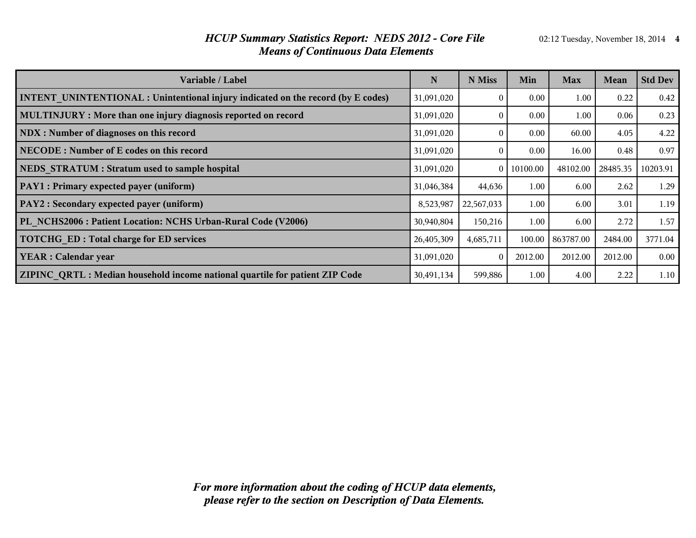#### *HCUP Summary Statistics Report: NEDS 2012 - Core File* 02:12 Tuesday, November 18, 2014 4 *Means of Continuous Data Elements*

| Variable / Label                                                                        | N          | N Miss         | Min      | <b>Max</b> | <b>Mean</b> | <b>Std Dev</b> |
|-----------------------------------------------------------------------------------------|------------|----------------|----------|------------|-------------|----------------|
| <b>INTENT UNINTENTIONAL : Unintentional injury indicated on the record (by E codes)</b> | 31,091,020 |                | 0.00     | 1.00       | 0.22        | 0.42           |
| MULTINJURY: More than one injury diagnosis reported on record                           | 31,091,020 | $\Omega$       | 0.00     | 1.00       | 0.06        | 0.23           |
| NDX : Number of diagnoses on this record                                                | 31,091,020 | $\Omega$       | 0.00     | 60.00      | 4.05        | 4.22           |
| NECODE: Number of E codes on this record                                                | 31,091,020 | $\Omega$       | 0.00     | 16.00      | 0.48        | 0.97           |
| NEDS STRATUM : Stratum used to sample hospital                                          | 31,091,020 | $\overline{0}$ | 10100.00 | 48102.00   | 28485.35    | 10203.91       |
| PAY1 : Primary expected payer (uniform)                                                 | 31,046,384 | 44,636         | 1.00     | 6.00       | 2.62        | 1.29           |
| PAY2 : Secondary expected payer (uniform)                                               | 8,523,987  | 22,567,033     | 1.00     | 6.00       | 3.01        | 1.19           |
| PL NCHS2006 : Patient Location: NCHS Urban-Rural Code (V2006)                           | 30,940,804 | 150,216        | 1.00     | 6.00       | 2.72        | 1.57           |
| <b>TOTCHG ED: Total charge for ED services</b>                                          | 26,405,309 | 4,685,711      | 100.00   | 863787.00  | 2484.00     | 3771.04        |
| <b>YEAR</b> : Calendar year                                                             | 31,091,020 | $\Omega$       | 2012.00  | 2012.00    | 2012.00     | 0.00           |
| ZIPINC QRTL: Median household income national quartile for patient ZIP Code             | 30,491,134 | 599,886        | 1.00     | 4.00       | 2.22        | 1.10           |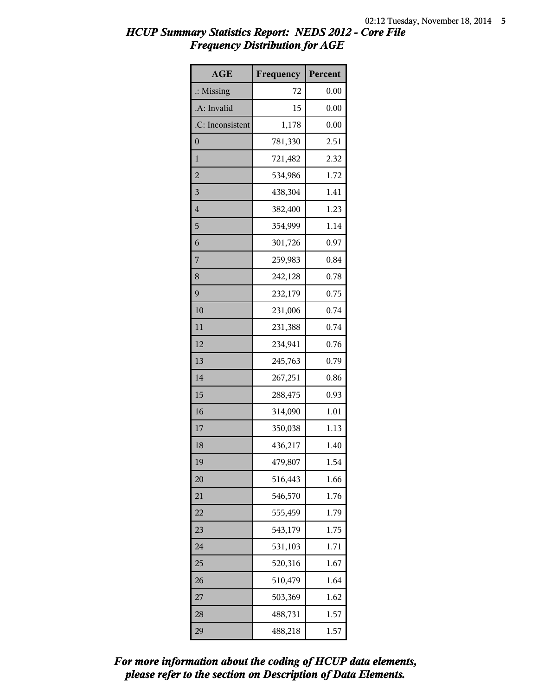| <b>AGE</b>           | Frequency | Percent |
|----------------------|-----------|---------|
| $\therefore$ Missing | 72        | 0.00    |
| .A: Invalid          | 15        | 0.00    |
| .C: Inconsistent     | 1,178     | 0.00    |
| $\boldsymbol{0}$     | 781,330   | 2.51    |
| $\mathbf{1}$         | 721,482   | 2.32    |
| $\overline{2}$       | 534,986   | 1.72    |
| $\overline{3}$       | 438,304   | 1.41    |
| $\overline{4}$       | 382,400   | 1.23    |
| 5                    | 354,999   | 1.14    |
| 6                    | 301,726   | 0.97    |
| 7                    | 259,983   | 0.84    |
| 8                    | 242,128   | 0.78    |
| 9                    | 232,179   | 0.75    |
| 10                   | 231,006   | 0.74    |
| 11                   | 231,388   | 0.74    |
| 12                   | 234,941   | 0.76    |
| 13                   | 245,763   | 0.79    |
| 14                   | 267,251   | 0.86    |
| 15                   | 288,475   | 0.93    |
| 16                   | 314,090   | 1.01    |
| 17                   | 350,038   | 1.13    |
| 18                   | 436,217   | 1.40    |
| 19                   | 479,807   | 1.54    |
| 20                   | 516,443   | 1.66    |
| 21                   | 546,570   | 1.76    |
| 22                   | 555,459   | 1.79    |
| 23                   | 543,179   | 1.75    |
| 24                   | 531,103   | 1.71    |
| 25                   | 520,316   | 1.67    |
| 26                   | 510,479   | 1.64    |
| 27                   | 503,369   | 1.62    |
| 28                   | 488,731   | 1.57    |
| 29                   | 488,218   | 1.57    |

*please refer to the section on Description of Data Elements. For more information about the coding of HCUP data elements,*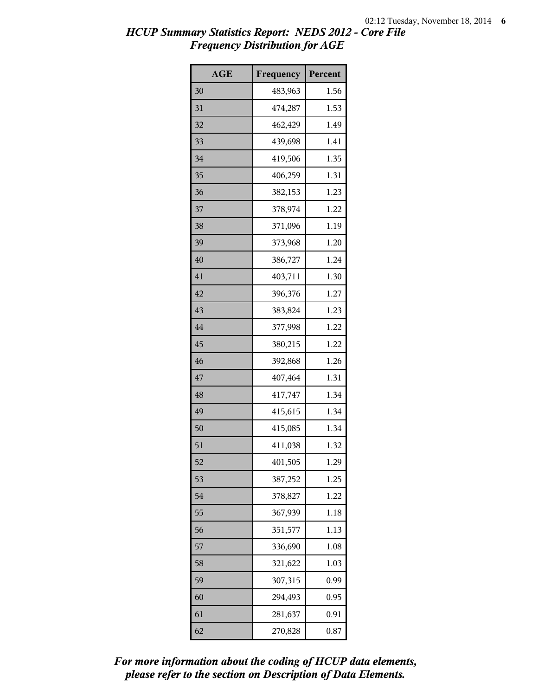| <b>AGE</b> | Frequency | Percent |
|------------|-----------|---------|
| 30         | 483,963   | 1.56    |
| 31         | 474,287   | 1.53    |
| 32         | 462,429   | 1.49    |
| 33         | 439,698   | 1.41    |
| 34         | 419,506   | 1.35    |
| 35         | 406,259   | 1.31    |
| 36         | 382,153   | 1.23    |
| 37         | 378,974   | 1.22    |
| 38         | 371,096   | 1.19    |
| 39         | 373,968   | 1.20    |
| 40         | 386,727   | 1.24    |
| 41         | 403,711   | 1.30    |
| 42         | 396,376   | 1.27    |
| 43         | 383,824   | 1.23    |
| 44         | 377,998   | 1.22    |
| 45         | 380,215   | 1.22    |
| 46         | 392,868   | 1.26    |
| 47         | 407,464   | 1.31    |
| 48         | 417,747   | 1.34    |
| 49         | 415,615   | 1.34    |
| 50         | 415,085   | 1.34    |
| 51         | 411,038   | 1.32    |
| 52         | 401,505   | 1.29    |
| 53         | 387,252   | 1.25    |
| 54         | 378,827   | 1.22    |
| 55         | 367,939   | 1.18    |
| 56         | 351,577   | 1.13    |
| 57         | 336,690   | 1.08    |
| 58         | 321,622   | 1.03    |
| 59         | 307,315   | 0.99    |
| 60         | 294,493   | 0.95    |
| 61         | 281,637   | 0.91    |
| 62         | 270,828   | 0.87    |

*please refer to the section on Description of Data Elements. For more information about the coding of HCUP data elements,*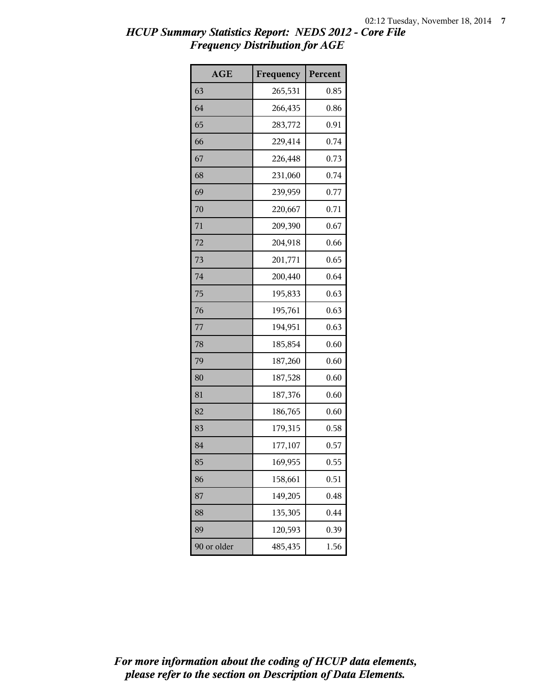| <b>AGE</b>  | Frequency | Percent |
|-------------|-----------|---------|
| 63          | 265,531   | 0.85    |
| 64          | 266,435   | 0.86    |
| 65          | 283,772   | 0.91    |
| 66          | 229,414   | 0.74    |
| 67          | 226,448   | 0.73    |
| 68          | 231,060   | 0.74    |
| 69          | 239,959   | 0.77    |
| 70          | 220,667   | 0.71    |
| 71          | 209,390   | 0.67    |
| 72          | 204,918   | 0.66    |
| 73          | 201,771   | 0.65    |
| 74          | 200,440   | 0.64    |
| 75          | 195,833   | 0.63    |
| 76          | 195,761   | 0.63    |
| 77          | 194,951   | 0.63    |
| 78          | 185,854   | 0.60    |
| 79          | 187,260   | 0.60    |
| 80          | 187,528   | 0.60    |
| 81          | 187,376   | 0.60    |
| 82          | 186,765   | 0.60    |
| 83          | 179,315   | 0.58    |
| 84          | 177,107   | 0.57    |
| 85          | 169,955   | 0.55    |
| 86          | 158,661   | 0.51    |
| 87          | 149,205   | 0.48    |
| 88          | 135,305   | 0.44    |
| 89          | 120,593   | 0.39    |
| 90 or older | 485,435   | 1.56    |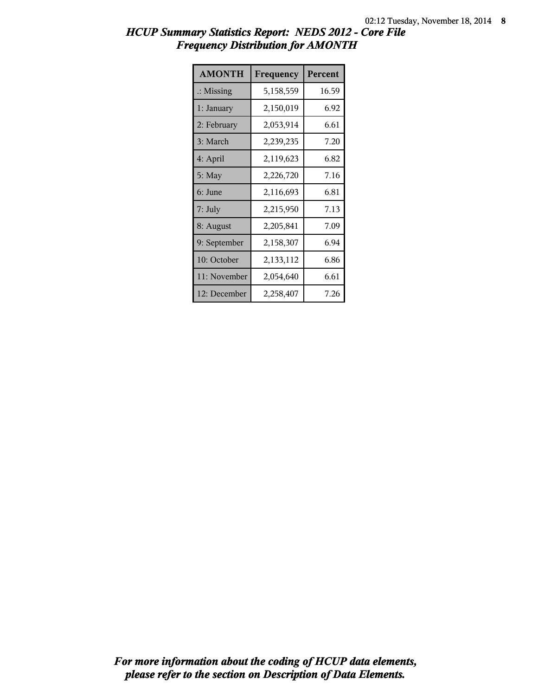| <b>AMONTH</b>        | Frequency | Percent |
|----------------------|-----------|---------|
| $\therefore$ Missing | 5,158,559 | 16.59   |
| 1: January           | 2,150,019 | 6.92    |
| 2: February          | 2,053,914 | 6.61    |
| 3: March             | 2,239,235 | 7.20    |
| 4: April             | 2,119,623 | 6.82    |
| $5:$ May             | 2,226,720 | 7.16    |
| 6: June              | 2,116,693 | 6.81    |
| 7: July              | 2,215,950 | 7.13    |
| 8: August            | 2,205,841 | 7.09    |
| 9: September         | 2,158,307 | 6.94    |
| 10: October          | 2,133,112 | 6.86    |
| 11: November         | 2,054,640 | 6.61    |
| 12: December         | 2,258,407 | 7.26    |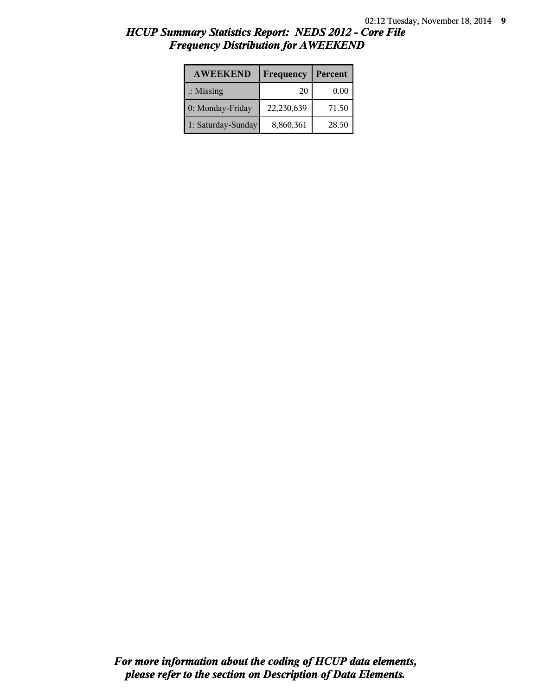| <b>AWEEKEND</b>      | Frequency  | Percent |
|----------------------|------------|---------|
| $\therefore$ Missing | 20         | 0.00    |
| 0: Monday-Friday     | 22,230,639 | 71.50   |
| 1: Saturday-Sunday   | 8,860,361  | 28.50   |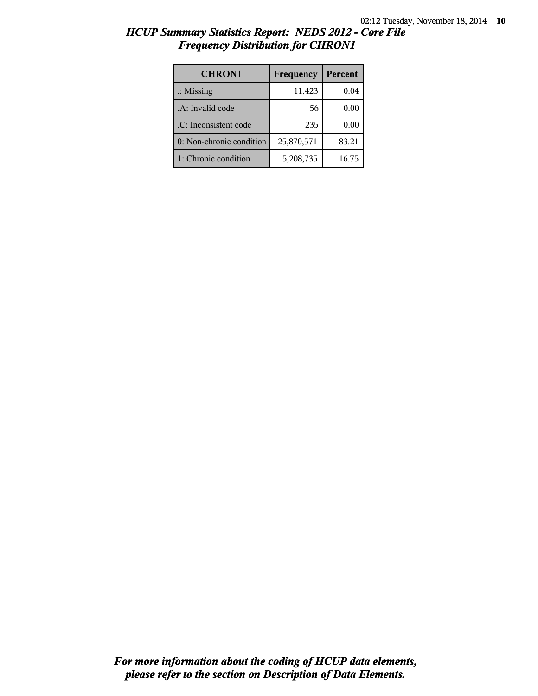| <b>CHRON1</b>            | Frequency  | Percent |
|--------------------------|------------|---------|
| $\therefore$ Missing     | 11,423     | 0.04    |
| .A: Invalid code         | 56         | 0.00    |
| .C: Inconsistent code    | 235        | 0.00    |
| 0: Non-chronic condition | 25,870,571 | 83.21   |
| 1: Chronic condition     | 5,208,735  | 16.75   |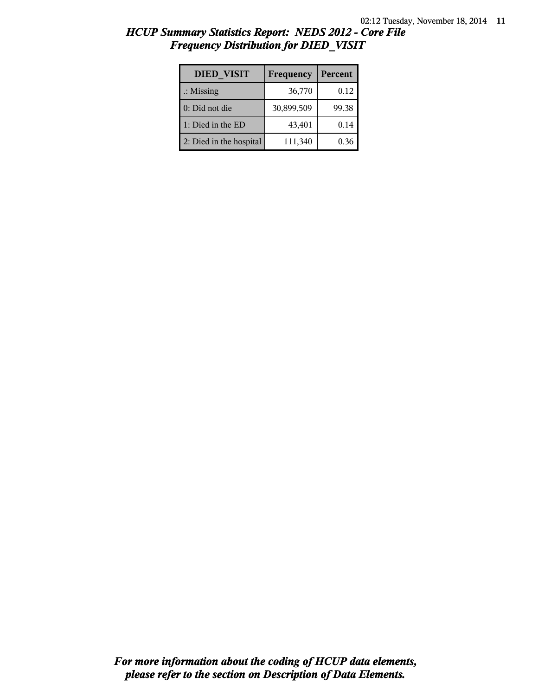| HCUP Summary Statistics Report: NEDS 2012 - Core File |  |  |
|-------------------------------------------------------|--|--|
| <b>Frequency Distribution for DIED VISIT</b>          |  |  |

| <b>DIED VISIT</b>       | Frequency  | Percent |
|-------------------------|------------|---------|
| $\therefore$ Missing    | 36,770     | 0.12    |
| 0: Did not die          | 30,899,509 | 99.38   |
| 1: Died in the ED       | 43,401     | 0.14    |
| 2: Died in the hospital | 111,340    | 0.36    |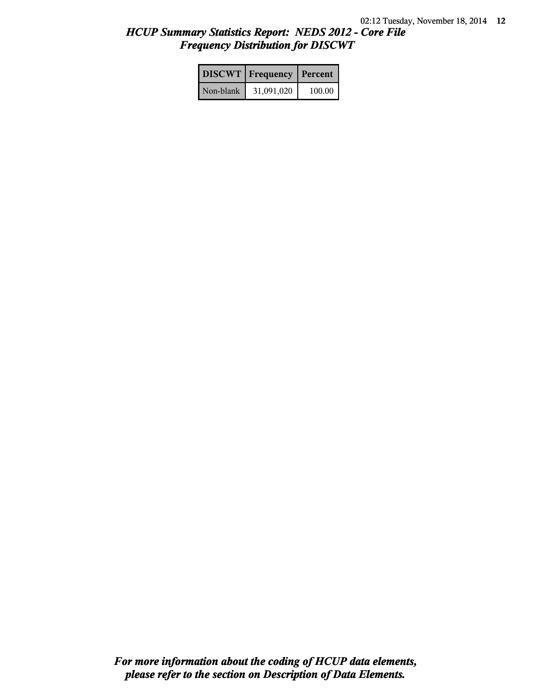|           | <b>DISCWT</b> Frequency | <b>Percent</b> |
|-----------|-------------------------|----------------|
| Non-blank | 31,091,020              | 100.00         |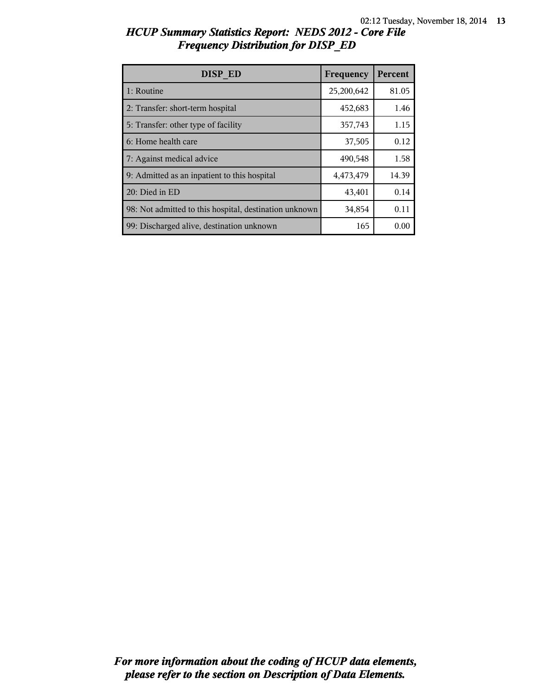| DISP ED                                                | Frequency  | Percent |
|--------------------------------------------------------|------------|---------|
| 1: Routine                                             | 25,200,642 | 81.05   |
| 2: Transfer: short-term hospital                       | 452,683    | 1.46    |
| 5: Transfer: other type of facility                    | 357,743    | 1.15    |
| 6: Home health care                                    | 37,505     | 0.12    |
| 7: Against medical advice                              | 490,548    | 1.58    |
| 9: Admitted as an inpatient to this hospital           | 4,473,479  | 14.39   |
| 20: Died in ED                                         | 43,401     | 0.14    |
| 98: Not admitted to this hospital, destination unknown | 34,854     | 0.11    |
| 99: Discharged alive, destination unknown              | 165        | 0.00    |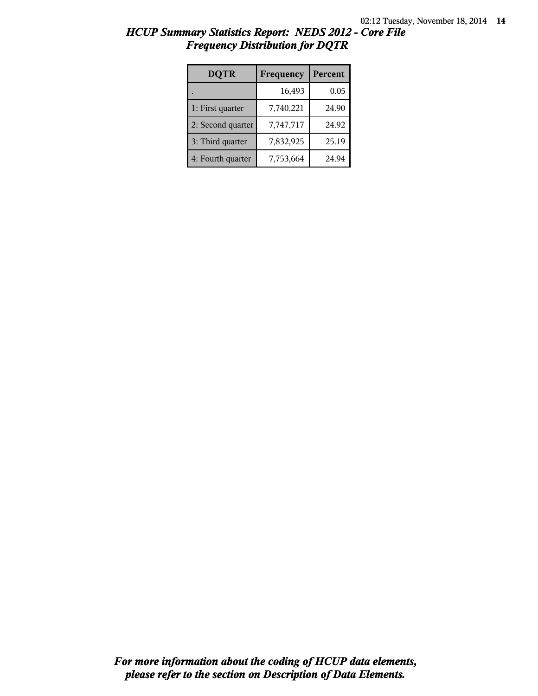| <b>DQTR</b>       | Frequency | Percent |
|-------------------|-----------|---------|
|                   | 16,493    | 0.05    |
| 1: First quarter  | 7,740,221 | 24.90   |
| 2: Second quarter | 7,747,717 | 24.92   |
| 3: Third quarter  | 7,832,925 | 25.19   |
| 4: Fourth quarter | 7,753,664 | 24.94   |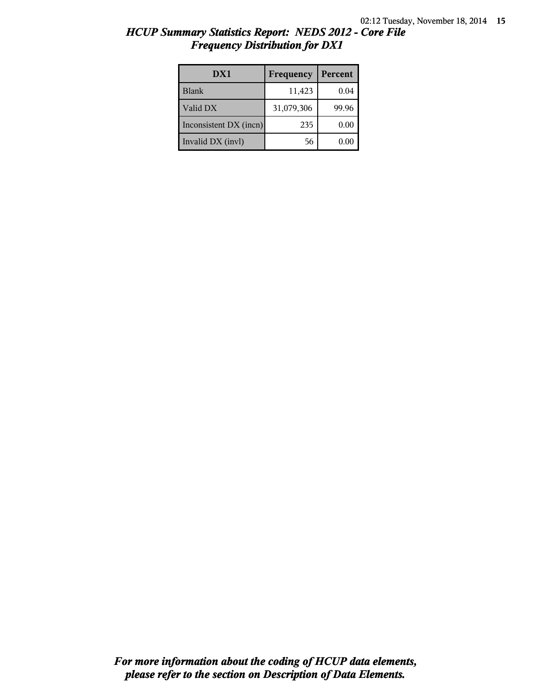| DX1                    | Frequency  | Percent |
|------------------------|------------|---------|
| Blank                  | 11,423     | 0.04    |
| Valid DX               | 31,079,306 | 99.96   |
| Inconsistent DX (incn) | 235        | 0.00    |
| Invalid DX (invl)      | 56         | 0.00    |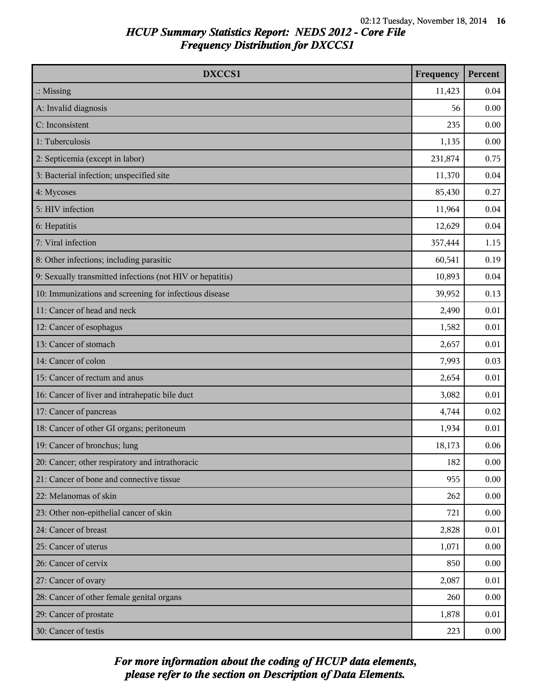| DXCCS1                                                    | Frequency | Percent |
|-----------------------------------------------------------|-----------|---------|
| $\therefore$ Missing                                      | 11,423    | 0.04    |
| A: Invalid diagnosis                                      | 56        | 0.00    |
| C: Inconsistent                                           | 235       | 0.00    |
| 1: Tuberculosis                                           | 1,135     | 0.00    |
| 2: Septicemia (except in labor)                           | 231,874   | 0.75    |
| 3: Bacterial infection; unspecified site                  | 11,370    | 0.04    |
| 4: Mycoses                                                | 85,430    | 0.27    |
| 5: HIV infection                                          | 11,964    | 0.04    |
| 6: Hepatitis                                              | 12,629    | 0.04    |
| 7: Viral infection                                        | 357,444   | 1.15    |
| 8: Other infections; including parasitic                  | 60,541    | 0.19    |
| 9: Sexually transmitted infections (not HIV or hepatitis) | 10,893    | 0.04    |
| 10: Immunizations and screening for infectious disease    | 39,952    | 0.13    |
| 11: Cancer of head and neck                               | 2,490     | 0.01    |
| 12: Cancer of esophagus                                   | 1,582     | 0.01    |
| 13: Cancer of stomach                                     | 2,657     | 0.01    |
| 14: Cancer of colon                                       | 7,993     | 0.03    |
| 15: Cancer of rectum and anus                             | 2,654     | 0.01    |
| 16: Cancer of liver and intrahepatic bile duct            | 3,082     | 0.01    |
| 17: Cancer of pancreas                                    | 4,744     | 0.02    |
| 18: Cancer of other GI organs; peritoneum                 | 1,934     | 0.01    |
| 19: Cancer of bronchus; lung                              | 18,173    | 0.06    |
| 20: Cancer; other respiratory and intrathoracic           | 182       | 0.00    |
| 21: Cancer of bone and connective tissue                  | 955       | 0.00    |
| 22: Melanomas of skin                                     | 262       | 0.00    |
| 23: Other non-epithelial cancer of skin                   | 721       | 0.00    |
| 24: Cancer of breast                                      | 2,828     | 0.01    |
| 25: Cancer of uterus                                      | 1,071     | 0.00    |
| 26: Cancer of cervix                                      | 850       | 0.00    |
| 27: Cancer of ovary                                       | 2,087     | 0.01    |
| 28: Cancer of other female genital organs                 | 260       | 0.00    |
| 29: Cancer of prostate                                    | 1,878     | 0.01    |
| 30: Cancer of testis                                      | 223       | 0.00    |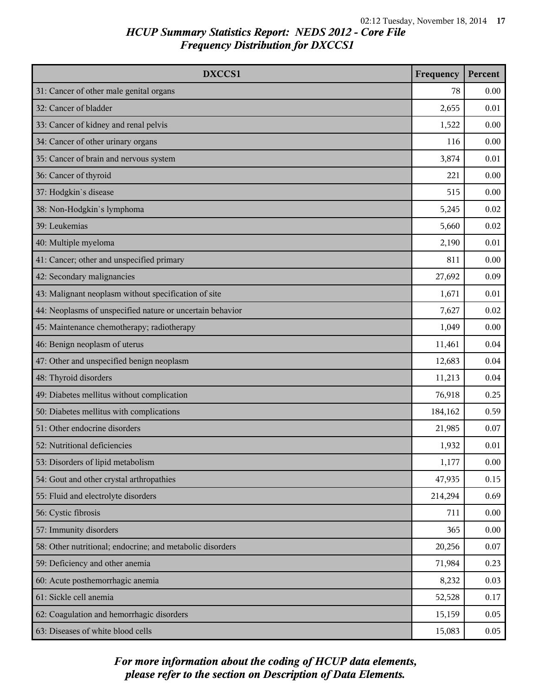| DXCCS1                                                    | Frequency | Percent |
|-----------------------------------------------------------|-----------|---------|
| 31: Cancer of other male genital organs                   | 78        | 0.00    |
| 32: Cancer of bladder                                     | 2,655     | 0.01    |
| 33: Cancer of kidney and renal pelvis                     | 1,522     | 0.00    |
| 34: Cancer of other urinary organs                        | 116       | 0.00    |
| 35: Cancer of brain and nervous system                    | 3,874     | 0.01    |
| 36: Cancer of thyroid                                     | 221       | 0.00    |
| 37: Hodgkin's disease                                     | 515       | 0.00    |
| 38: Non-Hodgkin's lymphoma                                | 5,245     | 0.02    |
| 39: Leukemias                                             | 5,660     | 0.02    |
| 40: Multiple myeloma                                      | 2,190     | 0.01    |
| 41: Cancer; other and unspecified primary                 | 811       | 0.00    |
| 42: Secondary malignancies                                | 27,692    | 0.09    |
| 43: Malignant neoplasm without specification of site      | 1,671     | 0.01    |
| 44: Neoplasms of unspecified nature or uncertain behavior | 7,627     | 0.02    |
| 45: Maintenance chemotherapy; radiotherapy                | 1,049     | 0.00    |
| 46: Benign neoplasm of uterus                             | 11,461    | 0.04    |
| 47: Other and unspecified benign neoplasm                 | 12,683    | 0.04    |
| 48: Thyroid disorders                                     | 11,213    | 0.04    |
| 49: Diabetes mellitus without complication                | 76,918    | 0.25    |
| 50: Diabetes mellitus with complications                  | 184,162   | 0.59    |
| 51: Other endocrine disorders                             | 21,985    | 0.07    |
| 52: Nutritional deficiencies                              | 1,932     | 0.01    |
| 53: Disorders of lipid metabolism                         | 1,177     | 0.00    |
| 54: Gout and other crystal arthropathies                  | 47,935    | 0.15    |
| 55: Fluid and electrolyte disorders                       | 214,294   | 0.69    |
| 56: Cystic fibrosis                                       | 711       | 0.00    |
| 57: Immunity disorders                                    | 365       | 0.00    |
| 58: Other nutritional; endocrine; and metabolic disorders | 20,256    | 0.07    |
| 59: Deficiency and other anemia                           | 71,984    | 0.23    |
| 60: Acute posthemorrhagic anemia                          | 8,232     | 0.03    |
| 61: Sickle cell anemia                                    | 52,528    | 0.17    |
| 62: Coagulation and hemorrhagic disorders                 | 15,159    | 0.05    |
| 63: Diseases of white blood cells                         | 15,083    | 0.05    |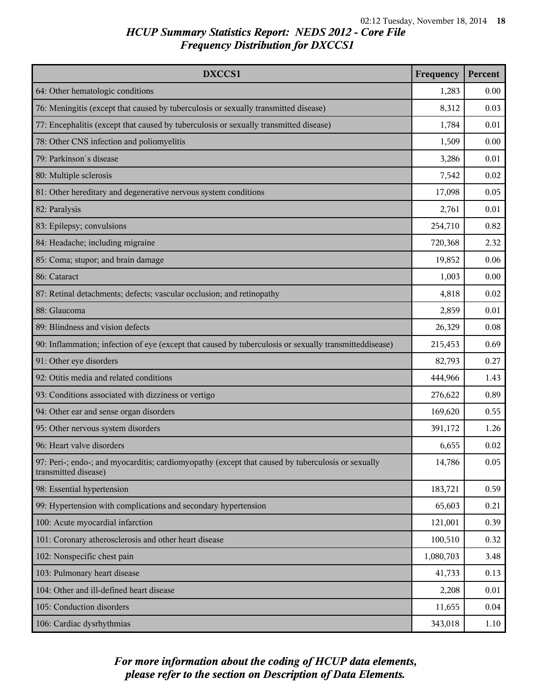| DXCCS1                                                                                                                    | Frequency | Percent |
|---------------------------------------------------------------------------------------------------------------------------|-----------|---------|
| 64: Other hematologic conditions                                                                                          | 1,283     | 0.00    |
| 76: Meningitis (except that caused by tuberculosis or sexually transmitted disease)                                       | 8,312     | 0.03    |
| 77: Encephalitis (except that caused by tuberculosis or sexually transmitted disease)                                     | 1,784     | 0.01    |
| 78: Other CNS infection and poliomyelitis                                                                                 | 1,509     | 0.00    |
| 79: Parkinson's disease                                                                                                   | 3,286     | 0.01    |
| 80: Multiple sclerosis                                                                                                    | 7,542     | 0.02    |
| 81: Other hereditary and degenerative nervous system conditions                                                           | 17,098    | 0.05    |
| 82: Paralysis                                                                                                             | 2,761     | 0.01    |
| 83: Epilepsy; convulsions                                                                                                 | 254,710   | 0.82    |
| 84: Headache; including migraine                                                                                          | 720,368   | 2.32    |
| 85: Coma; stupor; and brain damage                                                                                        | 19,852    | 0.06    |
| 86: Cataract                                                                                                              | 1,003     | 0.00    |
| 87: Retinal detachments; defects; vascular occlusion; and retinopathy                                                     | 4,818     | 0.02    |
| 88: Glaucoma                                                                                                              | 2,859     | 0.01    |
| 89: Blindness and vision defects                                                                                          | 26,329    | 0.08    |
| 90: Inflammation; infection of eye (except that caused by tuberculosis or sexually transmitteddisease)                    | 215,453   | 0.69    |
| 91: Other eye disorders                                                                                                   | 82,793    | 0.27    |
| 92: Otitis media and related conditions                                                                                   | 444,966   | 1.43    |
| 93: Conditions associated with dizziness or vertigo                                                                       | 276,622   | 0.89    |
| 94: Other ear and sense organ disorders                                                                                   | 169,620   | 0.55    |
| 95: Other nervous system disorders                                                                                        | 391,172   | 1.26    |
| 96: Heart valve disorders                                                                                                 | 6,655     | 0.02    |
| 97: Peri-; endo-; and myocarditis; cardiomyopathy (except that caused by tuberculosis or sexually<br>transmitted disease) | 14,786    | 0.05    |
| 98: Essential hypertension                                                                                                | 183,721   | 0.59    |
| 99: Hypertension with complications and secondary hypertension                                                            | 65,603    | 0.21    |
| 100: Acute myocardial infarction                                                                                          | 121,001   | 0.39    |
| 101: Coronary atherosclerosis and other heart disease                                                                     | 100,510   | 0.32    |
| 102: Nonspecific chest pain                                                                                               | 1,080,703 | 3.48    |
| 103: Pulmonary heart disease                                                                                              | 41,733    | 0.13    |
| 104: Other and ill-defined heart disease                                                                                  | 2,208     | 0.01    |
| 105: Conduction disorders                                                                                                 | 11,655    | 0.04    |
| 106: Cardiac dysrhythmias                                                                                                 | 343,018   | 1.10    |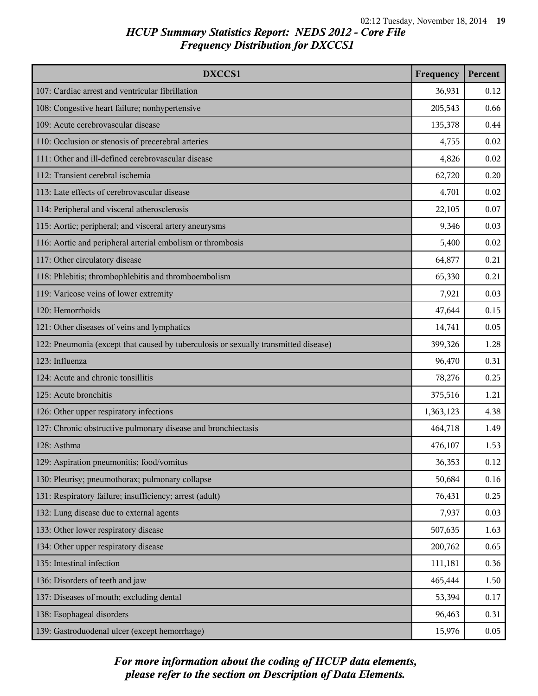| DXCCS1                                                                              | Frequency | Percent |
|-------------------------------------------------------------------------------------|-----------|---------|
| 107: Cardiac arrest and ventricular fibrillation                                    | 36,931    | 0.12    |
| 108: Congestive heart failure; nonhypertensive                                      | 205,543   | 0.66    |
| 109: Acute cerebrovascular disease                                                  | 135,378   | 0.44    |
| 110: Occlusion or stenosis of precerebral arteries                                  | 4,755     | 0.02    |
| 111: Other and ill-defined cerebrovascular disease                                  | 4,826     | 0.02    |
| 112: Transient cerebral ischemia                                                    | 62,720    | 0.20    |
| 113: Late effects of cerebrovascular disease                                        | 4,701     | 0.02    |
| 114: Peripheral and visceral atherosclerosis                                        | 22,105    | 0.07    |
| 115: Aortic; peripheral; and visceral artery aneurysms                              | 9,346     | 0.03    |
| 116: Aortic and peripheral arterial embolism or thrombosis                          | 5,400     | 0.02    |
| 117: Other circulatory disease                                                      | 64,877    | 0.21    |
| 118: Phlebitis; thrombophlebitis and thromboembolism                                | 65,330    | 0.21    |
| 119: Varicose veins of lower extremity                                              | 7,921     | 0.03    |
| 120: Hemorrhoids                                                                    | 47,644    | 0.15    |
| 121: Other diseases of veins and lymphatics                                         | 14,741    | 0.05    |
| 122: Pneumonia (except that caused by tuberculosis or sexually transmitted disease) | 399,326   | 1.28    |
| 123: Influenza                                                                      | 96,470    | 0.31    |
| 124: Acute and chronic tonsillitis                                                  | 78,276    | 0.25    |
| 125: Acute bronchitis                                                               | 375,516   | 1.21    |
| 126: Other upper respiratory infections                                             | 1,363,123 | 4.38    |
| 127: Chronic obstructive pulmonary disease and bronchiectasis                       | 464,718   | 1.49    |
| 128: Asthma                                                                         | 476,107   | 1.53    |
| 129: Aspiration pneumonitis; food/vomitus                                           | 36,353    | 0.12    |
| 130: Pleurisy; pneumothorax; pulmonary collapse                                     | 50,684    | 0.16    |
| 131: Respiratory failure; insufficiency; arrest (adult)                             | 76,431    | 0.25    |
| 132: Lung disease due to external agents                                            | 7,937     | 0.03    |
| 133: Other lower respiratory disease                                                | 507,635   | 1.63    |
| 134: Other upper respiratory disease                                                | 200,762   | 0.65    |
| 135: Intestinal infection                                                           | 111,181   | 0.36    |
| 136: Disorders of teeth and jaw                                                     | 465,444   | 1.50    |
| 137: Diseases of mouth; excluding dental                                            | 53,394    | 0.17    |
| 138: Esophageal disorders                                                           | 96,463    | 0.31    |
| 139: Gastroduodenal ulcer (except hemorrhage)                                       | 15,976    | 0.05    |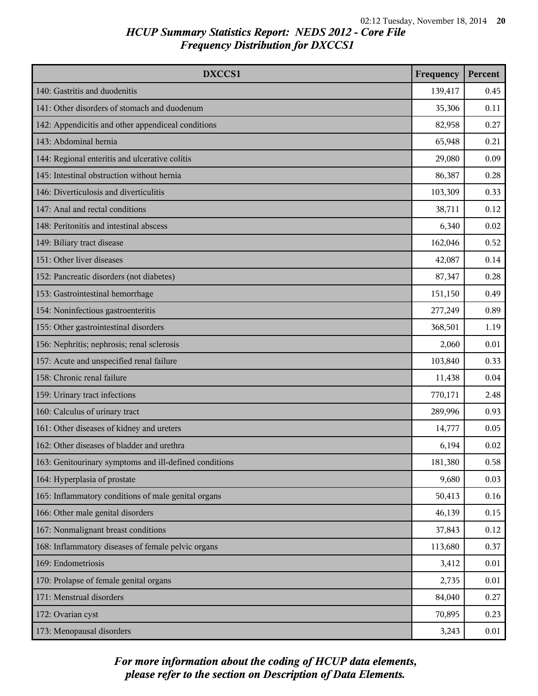| DXCCS1                                                 | Frequency | Percent |
|--------------------------------------------------------|-----------|---------|
| 140: Gastritis and duodenitis                          | 139,417   | 0.45    |
| 141: Other disorders of stomach and duodenum           | 35,306    | 0.11    |
| 142: Appendicitis and other appendiceal conditions     | 82,958    | 0.27    |
| 143: Abdominal hernia                                  | 65,948    | 0.21    |
| 144: Regional enteritis and ulcerative colitis         | 29,080    | 0.09    |
| 145: Intestinal obstruction without hernia             | 86,387    | 0.28    |
| 146: Diverticulosis and diverticulitis                 | 103,309   | 0.33    |
| 147: Anal and rectal conditions                        | 38,711    | 0.12    |
| 148: Peritonitis and intestinal abscess                | 6,340     | 0.02    |
| 149: Biliary tract disease                             | 162,046   | 0.52    |
| 151: Other liver diseases                              | 42,087    | 0.14    |
| 152: Pancreatic disorders (not diabetes)               | 87,347    | 0.28    |
| 153: Gastrointestinal hemorrhage                       | 151,150   | 0.49    |
| 154: Noninfectious gastroenteritis                     | 277,249   | 0.89    |
| 155: Other gastrointestinal disorders                  | 368,501   | 1.19    |
| 156: Nephritis; nephrosis; renal sclerosis             | 2,060     | 0.01    |
| 157: Acute and unspecified renal failure               | 103,840   | 0.33    |
| 158: Chronic renal failure                             | 11,438    | 0.04    |
| 159: Urinary tract infections                          | 770,171   | 2.48    |
| 160: Calculus of urinary tract                         | 289,996   | 0.93    |
| 161: Other diseases of kidney and ureters              | 14,777    | 0.05    |
| 162: Other diseases of bladder and urethra             | 6,194     | 0.02    |
| 163: Genitourinary symptoms and ill-defined conditions | 181,380   | 0.58    |
| 164: Hyperplasia of prostate                           | 9,680     | 0.03    |
| 165: Inflammatory conditions of male genital organs    | 50,413    | 0.16    |
| 166: Other male genital disorders                      | 46,139    | 0.15    |
| 167: Nonmalignant breast conditions                    | 37,843    | 0.12    |
| 168: Inflammatory diseases of female pelvic organs     | 113,680   | 0.37    |
| 169: Endometriosis                                     | 3,412     | 0.01    |
| 170: Prolapse of female genital organs                 | 2,735     | 0.01    |
| 171: Menstrual disorders                               | 84,040    | 0.27    |
| 172: Ovarian cyst                                      | 70,895    | 0.23    |
| 173: Menopausal disorders                              | 3,243     | 0.01    |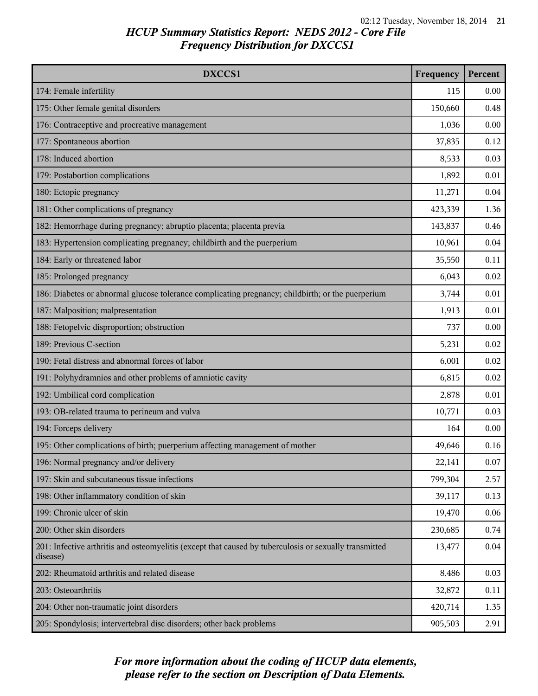| DXCCS1                                                                                                             | Frequency | Percent |
|--------------------------------------------------------------------------------------------------------------------|-----------|---------|
| 174: Female infertility                                                                                            | 115       | 0.00    |
| 175: Other female genital disorders                                                                                | 150,660   | 0.48    |
| 176: Contraceptive and procreative management                                                                      | 1,036     | 0.00    |
| 177: Spontaneous abortion                                                                                          | 37,835    | 0.12    |
| 178: Induced abortion                                                                                              | 8,533     | 0.03    |
| 179: Postabortion complications                                                                                    | 1,892     | 0.01    |
| 180: Ectopic pregnancy                                                                                             | 11,271    | 0.04    |
| 181: Other complications of pregnancy                                                                              | 423,339   | 1.36    |
| 182: Hemorrhage during pregnancy; abruptio placenta; placenta previa                                               | 143,837   | 0.46    |
| 183: Hypertension complicating pregnancy; childbirth and the puerperium                                            | 10,961    | 0.04    |
| 184: Early or threatened labor                                                                                     | 35,550    | 0.11    |
| 185: Prolonged pregnancy                                                                                           | 6,043     | 0.02    |
| 186: Diabetes or abnormal glucose tolerance complicating pregnancy; childbirth; or the puerperium                  | 3,744     | 0.01    |
| 187: Malposition; malpresentation                                                                                  | 1,913     | 0.01    |
| 188: Fetopelvic disproportion; obstruction                                                                         | 737       | 0.00    |
| 189: Previous C-section                                                                                            | 5,231     | 0.02    |
| 190: Fetal distress and abnormal forces of labor                                                                   | 6,001     | 0.02    |
| 191: Polyhydramnios and other problems of amniotic cavity                                                          | 6,815     | 0.02    |
| 192: Umbilical cord complication                                                                                   | 2,878     | 0.01    |
| 193: OB-related trauma to perineum and vulva                                                                       | 10,771    | 0.03    |
| 194: Forceps delivery                                                                                              | 164       | 0.00    |
| 195: Other complications of birth; puerperium affecting management of mother                                       | 49,646    | 0.16    |
| 196: Normal pregnancy and/or delivery                                                                              | 22,141    | 0.07    |
| 197: Skin and subcutaneous tissue infections                                                                       | 799,304   | 2.57    |
| 198: Other inflammatory condition of skin                                                                          | 39,117    | 0.13    |
| 199: Chronic ulcer of skin                                                                                         | 19,470    | 0.06    |
| 200: Other skin disorders                                                                                          | 230,685   | 0.74    |
| 201: Infective arthritis and osteomyelitis (except that caused by tuberculosis or sexually transmitted<br>disease) | 13,477    | 0.04    |
| 202: Rheumatoid arthritis and related disease                                                                      | 8,486     | 0.03    |
| 203: Osteoarthritis                                                                                                | 32,872    | 0.11    |
| 204: Other non-traumatic joint disorders                                                                           | 420,714   | 1.35    |
| 205: Spondylosis; intervertebral disc disorders; other back problems                                               | 905,503   | 2.91    |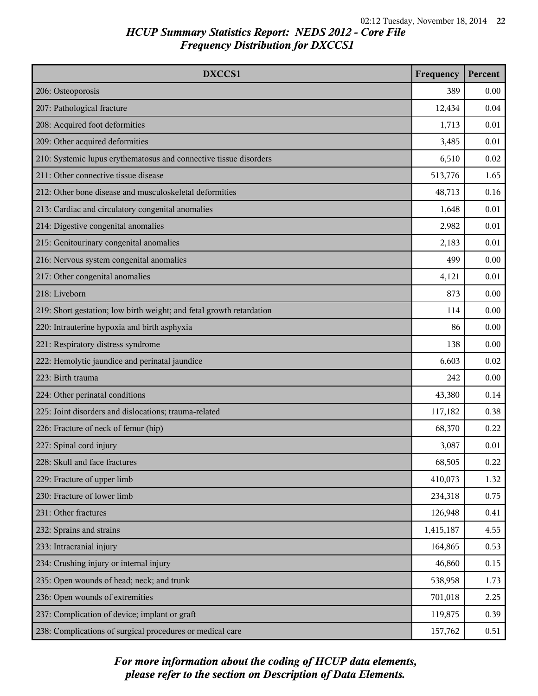| <b>DXCCS1</b>                                                        | Frequency | Percent |
|----------------------------------------------------------------------|-----------|---------|
| 206: Osteoporosis                                                    | 389       | 0.00    |
| 207: Pathological fracture                                           | 12,434    | 0.04    |
| 208: Acquired foot deformities                                       | 1,713     | 0.01    |
| 209: Other acquired deformities                                      | 3,485     | 0.01    |
| 210: Systemic lupus erythematosus and connective tissue disorders    | 6,510     | 0.02    |
| 211: Other connective tissue disease                                 | 513,776   | 1.65    |
| 212: Other bone disease and musculoskeletal deformities              | 48,713    | 0.16    |
| 213: Cardiac and circulatory congenital anomalies                    | 1,648     | 0.01    |
| 214: Digestive congenital anomalies                                  | 2,982     | 0.01    |
| 215: Genitourinary congenital anomalies                              | 2,183     | 0.01    |
| 216: Nervous system congenital anomalies                             | 499       | 0.00    |
| 217: Other congenital anomalies                                      | 4,121     | 0.01    |
| 218: Liveborn                                                        | 873       | 0.00    |
| 219: Short gestation; low birth weight; and fetal growth retardation | 114       | 0.00    |
| 220: Intrauterine hypoxia and birth asphyxia                         | 86        | 0.00    |
| 221: Respiratory distress syndrome                                   | 138       | 0.00    |
| 222: Hemolytic jaundice and perinatal jaundice                       | 6,603     | 0.02    |
| 223: Birth trauma                                                    | 242       | 0.00    |
| 224: Other perinatal conditions                                      | 43,380    | 0.14    |
| 225: Joint disorders and dislocations; trauma-related                | 117,182   | 0.38    |
| 226: Fracture of neck of femur (hip)                                 | 68,370    | 0.22    |
| 227: Spinal cord injury                                              | 3,087     | 0.01    |
| 228: Skull and face fractures                                        | 68,505    | 0.22    |
| 229: Fracture of upper limb                                          | 410,073   | 1.32    |
| 230: Fracture of lower limb                                          | 234,318   | 0.75    |
| 231: Other fractures                                                 | 126,948   | 0.41    |
| 232: Sprains and strains                                             | 1,415,187 | 4.55    |
| 233: Intracranial injury                                             | 164,865   | 0.53    |
| 234: Crushing injury or internal injury                              | 46,860    | 0.15    |
| 235: Open wounds of head; neck; and trunk                            | 538,958   | 1.73    |
| 236: Open wounds of extremities                                      | 701,018   | 2.25    |
| 237: Complication of device; implant or graft                        | 119,875   | 0.39    |
| 238: Complications of surgical procedures or medical care            | 157,762   | 0.51    |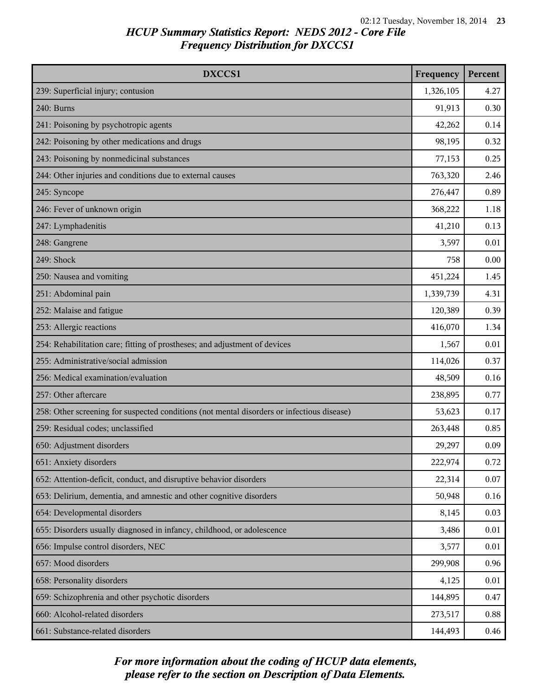| DXCCS1                                                                                     | Frequency | Percent |
|--------------------------------------------------------------------------------------------|-----------|---------|
| 239: Superficial injury; contusion                                                         | 1,326,105 | 4.27    |
| 240: Burns                                                                                 | 91,913    | 0.30    |
| 241: Poisoning by psychotropic agents                                                      | 42,262    | 0.14    |
| 242: Poisoning by other medications and drugs                                              | 98,195    | 0.32    |
| 243: Poisoning by nonmedicinal substances                                                  | 77,153    | 0.25    |
| 244: Other injuries and conditions due to external causes                                  | 763,320   | 2.46    |
| 245: Syncope                                                                               | 276,447   | 0.89    |
| 246: Fever of unknown origin                                                               | 368,222   | 1.18    |
| 247: Lymphadenitis                                                                         | 41,210    | 0.13    |
| 248: Gangrene                                                                              | 3,597     | 0.01    |
| 249: Shock                                                                                 | 758       | 0.00    |
| 250: Nausea and vomiting                                                                   | 451,224   | 1.45    |
| 251: Abdominal pain                                                                        | 1,339,739 | 4.31    |
| 252: Malaise and fatigue                                                                   | 120,389   | 0.39    |
| 253: Allergic reactions                                                                    | 416,070   | 1.34    |
| 254: Rehabilitation care; fitting of prostheses; and adjustment of devices                 | 1,567     | 0.01    |
| 255: Administrative/social admission                                                       | 114,026   | 0.37    |
| 256: Medical examination/evaluation                                                        | 48,509    | 0.16    |
| 257: Other aftercare                                                                       | 238,895   | 0.77    |
| 258: Other screening for suspected conditions (not mental disorders or infectious disease) | 53,623    | 0.17    |
| 259: Residual codes; unclassified                                                          | 263,448   | 0.85    |
| 650: Adjustment disorders                                                                  | 29,297    | 0.09    |
| 651: Anxiety disorders                                                                     | 222,974   | 0.72    |
| 652: Attention-deficit, conduct, and disruptive behavior disorders                         | 22,314    | 0.07    |
| 653: Delirium, dementia, and amnestic and other cognitive disorders                        | 50,948    | 0.16    |
| 654: Developmental disorders                                                               | 8,145     | 0.03    |
| 655: Disorders usually diagnosed in infancy, childhood, or adolescence                     | 3,486     | 0.01    |
| 656: Impulse control disorders, NEC                                                        | 3,577     | 0.01    |
| 657: Mood disorders                                                                        | 299,908   | 0.96    |
| 658: Personality disorders                                                                 | 4,125     | 0.01    |
| 659: Schizophrenia and other psychotic disorders                                           | 144,895   | 0.47    |
| 660: Alcohol-related disorders                                                             | 273,517   | 0.88    |
| 661: Substance-related disorders                                                           | 144,493   | 0.46    |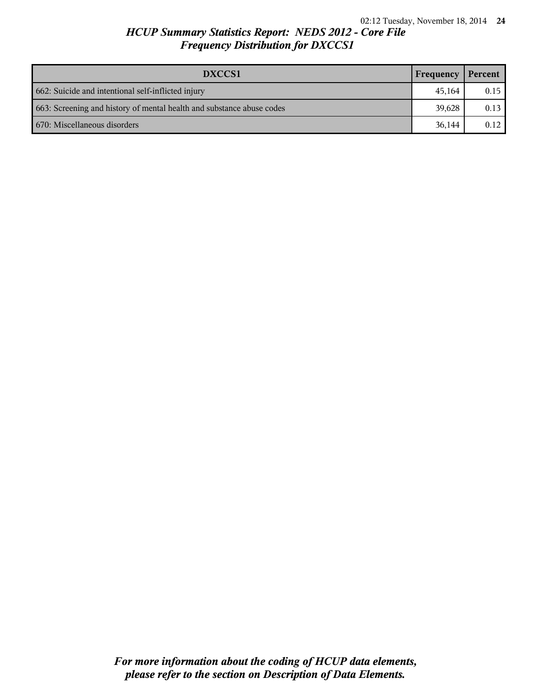| DXCCS1                                                                | Frequency | Percent |
|-----------------------------------------------------------------------|-----------|---------|
| 662: Suicide and intentional self-inflicted injury                    | 45.164    | 0.15    |
| 663: Screening and history of mental health and substance abuse codes | 39.628    | 0.13    |
| 670: Miscellaneous disorders                                          | 36.144    | 0.12    |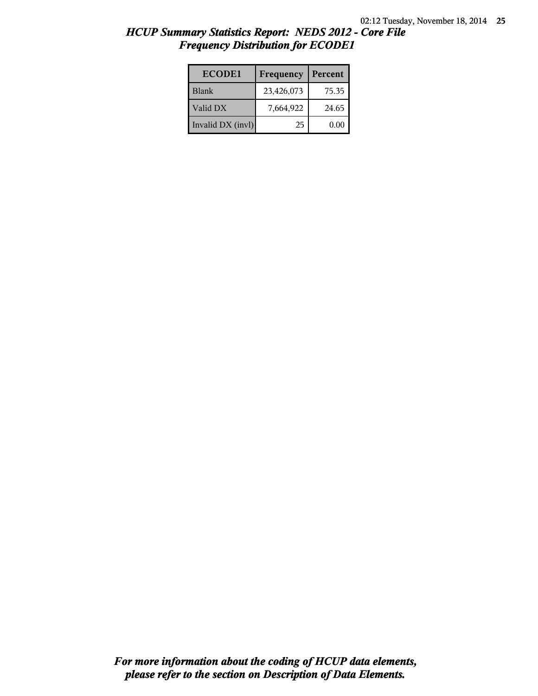| <b>ECODE1</b>     | Frequency  | Percent |
|-------------------|------------|---------|
| <b>Blank</b>      | 23,426,073 | 75.35   |
| Valid DX          | 7,664,922  | 24.65   |
| Invalid DX (invl) | 25         | 0.00    |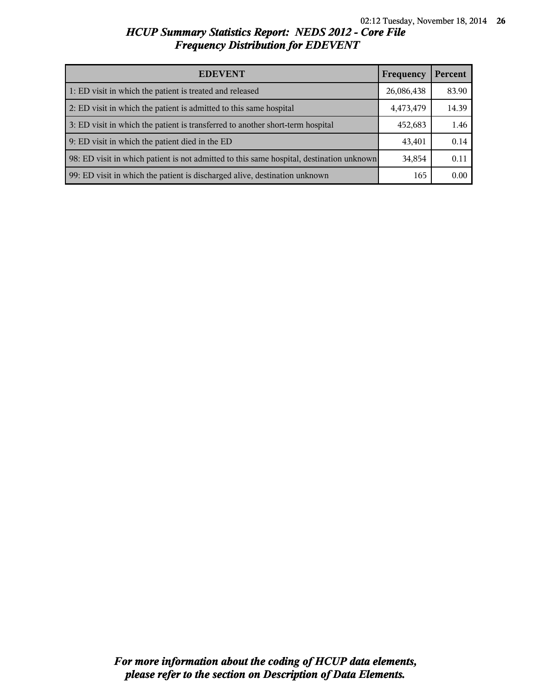| <b>EDEVENT</b>                                                                           | Frequency  | Percent |
|------------------------------------------------------------------------------------------|------------|---------|
| 1: ED visit in which the patient is treated and released                                 | 26,086,438 | 83.90   |
| 2: ED visit in which the patient is admitted to this same hospital                       | 4,473,479  | 14.39   |
| 3: ED visit in which the patient is transferred to another short-term hospital           | 452,683    | 1.46    |
| 9: ED visit in which the patient died in the ED                                          | 43,401     | 0.14    |
| 98: ED visit in which patient is not admitted to this same hospital, destination unknown | 34,854     | 0.11    |
| 99: ED visit in which the patient is discharged alive, destination unknown               | 165        | 0.00    |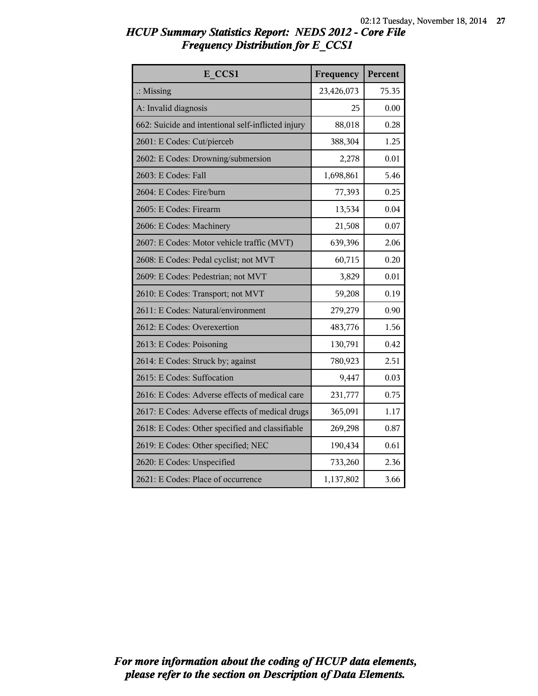| E CCS1                                             | Frequency  | Percent |
|----------------------------------------------------|------------|---------|
| $\therefore$ Missing                               | 23,426,073 | 75.35   |
| A: Invalid diagnosis                               | 25         | 0.00    |
| 662: Suicide and intentional self-inflicted injury | 88,018     | 0.28    |
| 2601: E Codes: Cut/pierceb                         | 388,304    | 1.25    |
| 2602: E Codes: Drowning/submersion                 | 2,278      | 0.01    |
| 2603: E Codes: Fall                                | 1,698,861  | 5.46    |
| 2604: E Codes: Fire/burn                           | 77,393     | 0.25    |
| 2605: E Codes: Firearm                             | 13,534     | 0.04    |
| 2606: E Codes: Machinery                           | 21,508     | 0.07    |
| 2607: E Codes: Motor vehicle traffic (MVT)         | 639,396    | 2.06    |
| 2608: E Codes: Pedal cyclist; not MVT              | 60,715     | 0.20    |
| 2609: E Codes: Pedestrian; not MVT                 | 3,829      | 0.01    |
| 2610: E Codes: Transport; not MVT                  | 59,208     | 0.19    |
| 2611: E Codes: Natural/environment                 | 279,279    | 0.90    |
| 2612: E Codes: Overexertion                        | 483,776    | 1.56    |
| 2613: E Codes: Poisoning                           | 130,791    | 0.42    |
| 2614: E Codes: Struck by; against                  | 780,923    | 2.51    |
| 2615: E Codes: Suffocation                         | 9,447      | 0.03    |
| 2616: E Codes: Adverse effects of medical care     | 231,777    | 0.75    |
| 2617: E Codes: Adverse effects of medical drugs    | 365,091    | 1.17    |
| 2618: E Codes: Other specified and classifiable    | 269,298    | 0.87    |
| 2619: E Codes: Other specified; NEC                | 190,434    | 0.61    |
| 2620: E Codes: Unspecified                         | 733,260    | 2.36    |
| 2621: E Codes: Place of occurrence                 | 1,137,802  | 3.66    |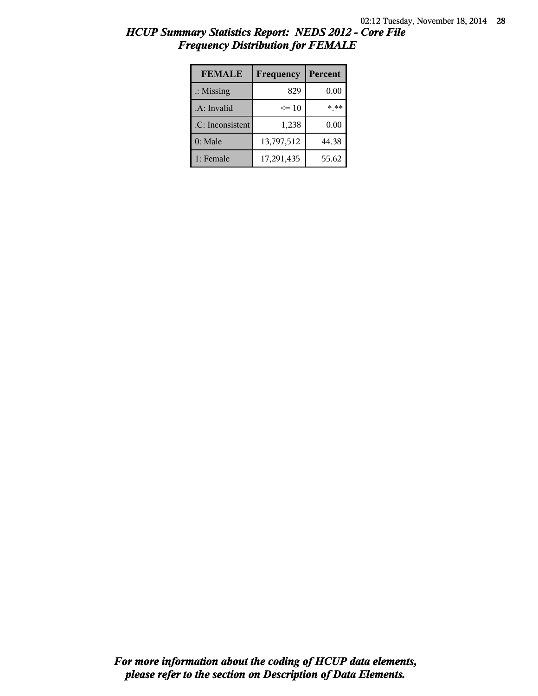| <b>FEMALE</b>        | Frequency  | Percent |
|----------------------|------------|---------|
| $\therefore$ Missing | 829        | 0.00    |
| .A: Invalid          | $\leq 10$  | * **    |
| .C: Inconsistent     | 1,238      | 0.00    |
| 0: Male              | 13,797,512 | 44.38   |
| 1: Female            | 17,291,435 | 55.62   |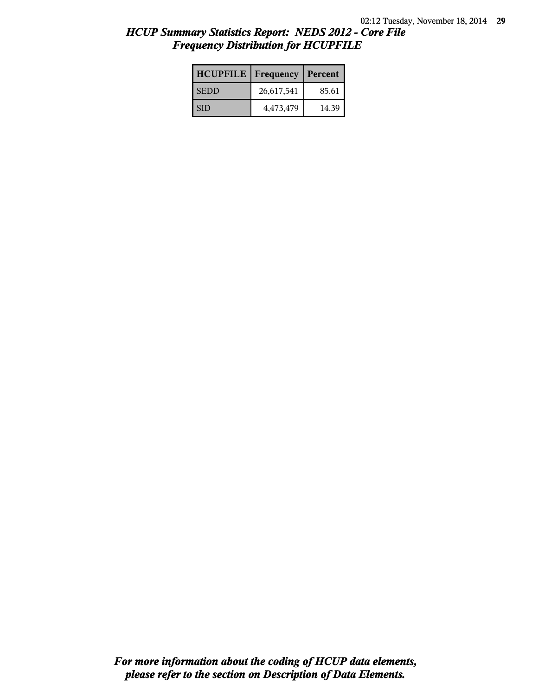| <b>HCUPFILE</b> | Frequency  | Percent |
|-----------------|------------|---------|
| <b>SEDD</b>     | 26,617,541 | 85.61   |
| <b>SID</b>      | 4,473,479  | 14.39   |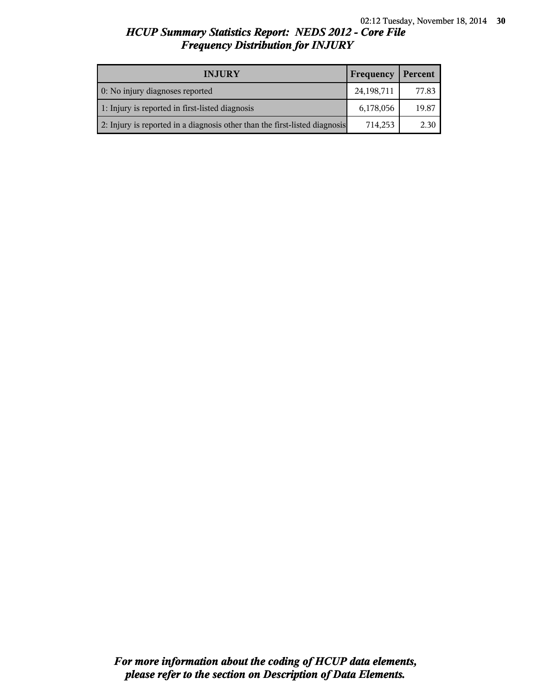| <b>INJURY</b>                                                              | Frequency  | Percent |
|----------------------------------------------------------------------------|------------|---------|
| 0: No injury diagnoses reported                                            | 24,198,711 | 77.83   |
| 1: Injury is reported in first-listed diagnosis                            | 6,178,056  | 19.87   |
| 2: Injury is reported in a diagnosis other than the first-listed diagnosis | 714,253    | 2.30    |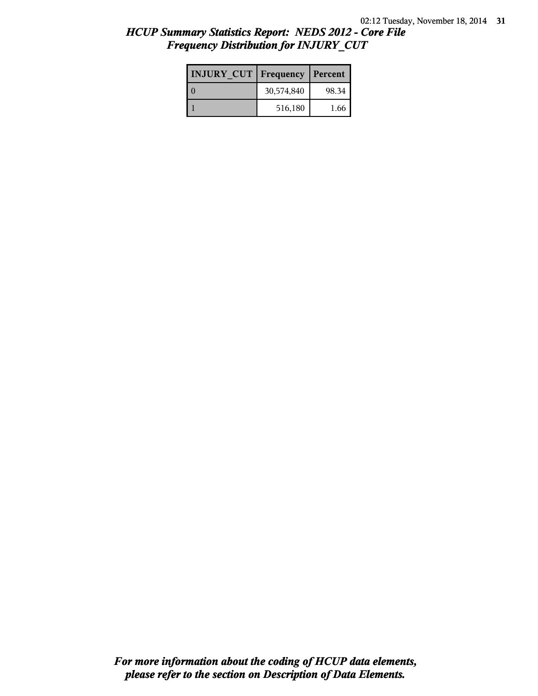| <b>INJURY CUT</b> | Frequency  | Percent |
|-------------------|------------|---------|
|                   | 30,574,840 | 98.34   |
|                   | 516,180    | 1.66    |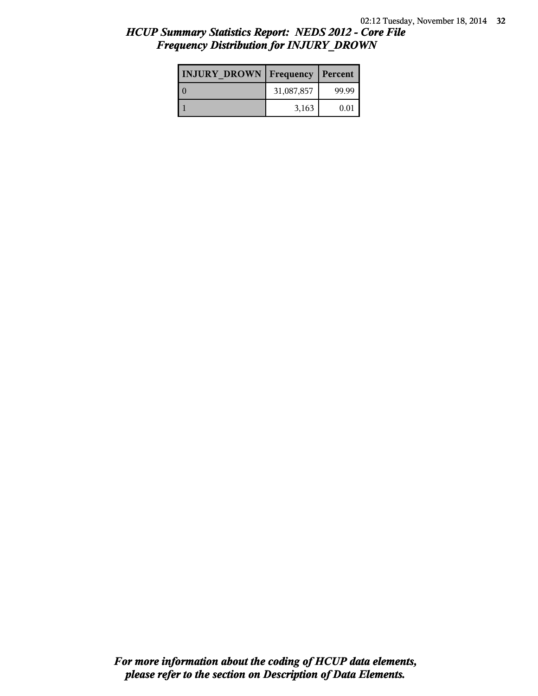| <b>INJURY DROWN</b> | <b>Frequency</b> | Percent |
|---------------------|------------------|---------|
|                     | 31,087,857       | 99.99   |
|                     | 3,163            | 0.01    |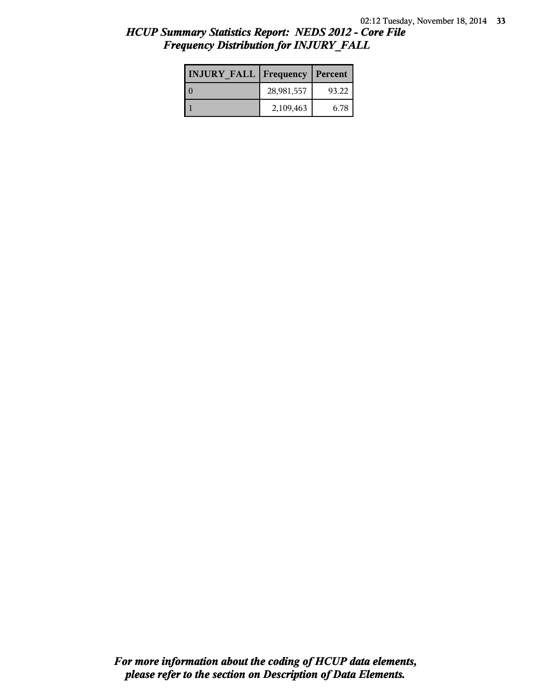| <b>INJURY FALL   Frequency   Percent</b> |            |       |
|------------------------------------------|------------|-------|
|                                          | 28,981,557 | 93.22 |
|                                          | 2,109,463  | 6.78  |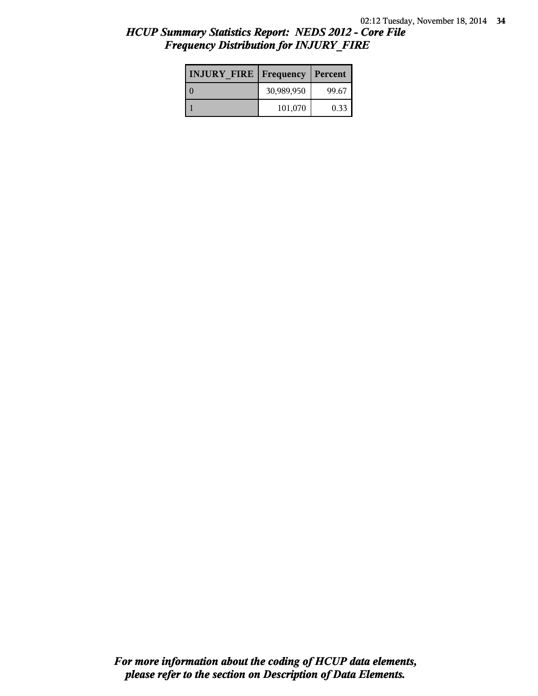| <b>INJURY FIRE   Frequency   Percent</b> |            |       |
|------------------------------------------|------------|-------|
|                                          | 30,989,950 | 99.67 |
|                                          | 101,070    | 0.33  |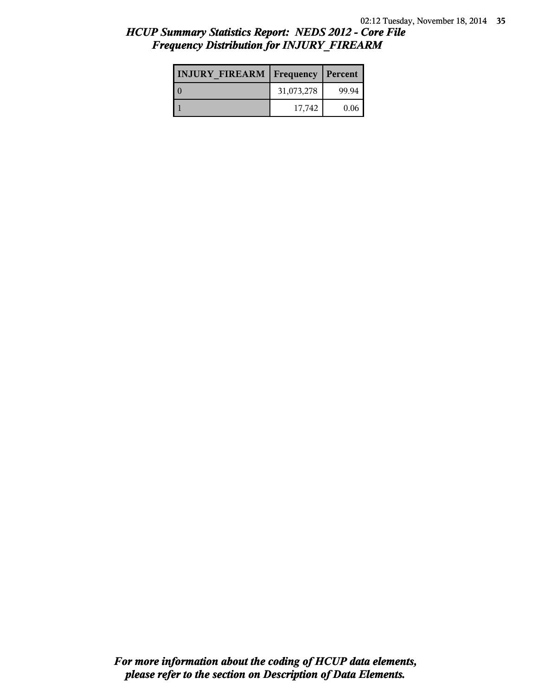## *HCUP Summary Statistics Report: NEDS 2012 - Core File Frequency Distribution for INJURY\_FIREARM*

| <b>INJURY FIREARM   Frequency   Percent  </b> |            |       |
|-----------------------------------------------|------------|-------|
|                                               | 31,073,278 | 99.94 |
|                                               | 17.742     | 0.06  |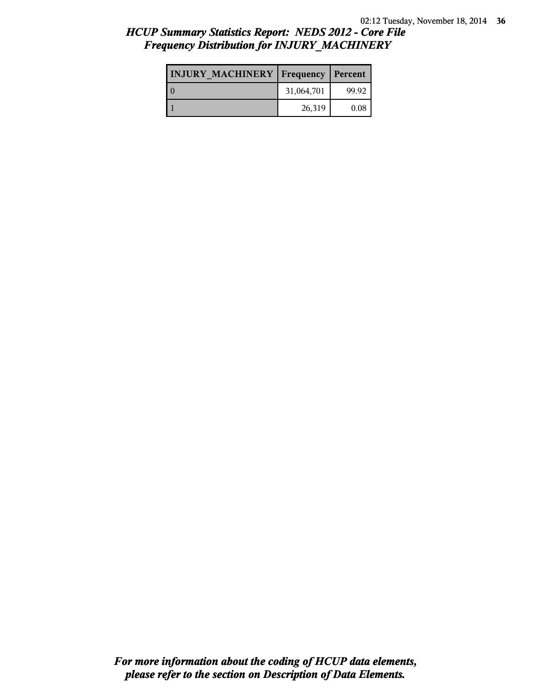# *HCUP Summary Statistics Report: NEDS 2012 - Core File Frequency Distribution for INJURY\_MACHINERY*

| <b>INJURY MACHINERY   Frequency   Percent</b> |            |       |
|-----------------------------------------------|------------|-------|
| LΩ                                            | 31,064,701 | 99.92 |
|                                               | 26,319     | 0.08  |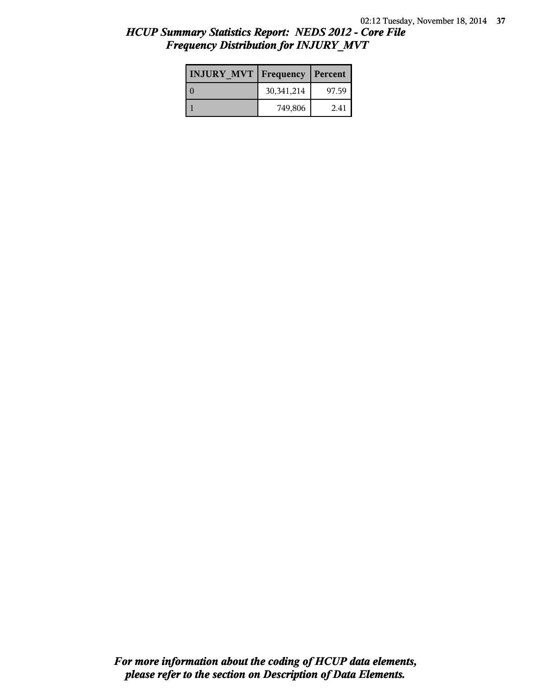| <b>INJURY MVT</b> | Frequency   Percent |       |
|-------------------|---------------------|-------|
|                   | 30,341,214          | 97.59 |
|                   | 749,806             | 2.41  |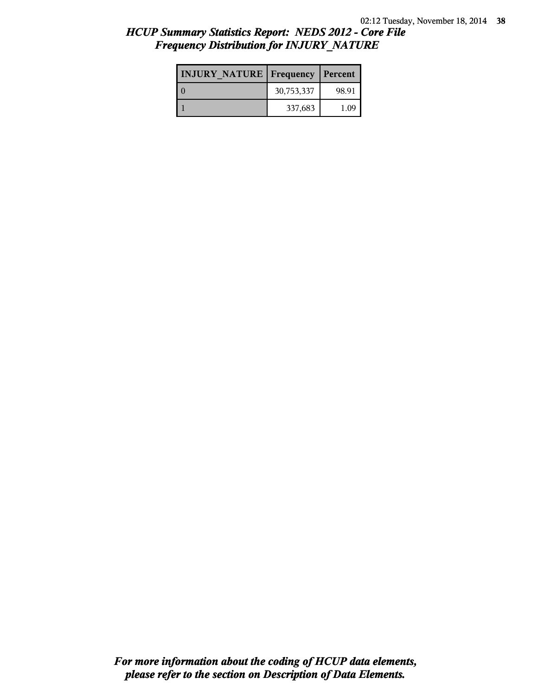#### *HCUP Summary Statistics Report: NEDS 2012 - Core File Frequency Distribution for INJURY\_NATURE*

| <b>INJURY NATURE   Frequency   Percent</b> |            |       |
|--------------------------------------------|------------|-------|
|                                            | 30,753,337 | 98.91 |
|                                            | 337,683    | 1.09  |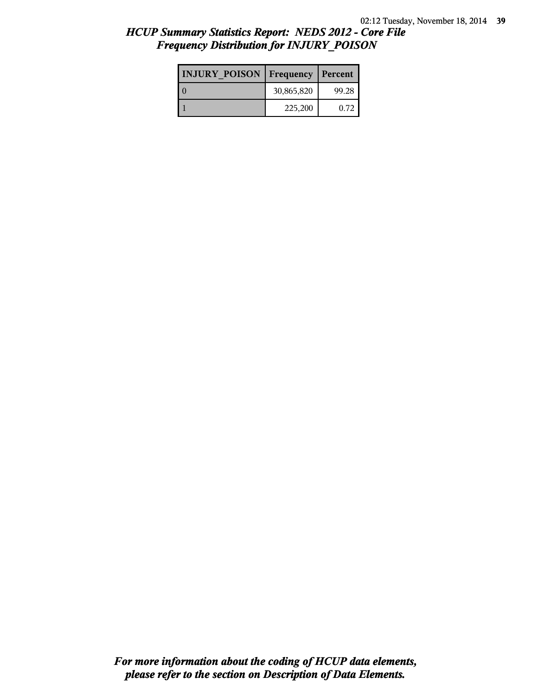| <b>INJURY POISON</b> | Frequency  | Percent |
|----------------------|------------|---------|
|                      | 30,865,820 | 99.28   |
|                      | 225,200    | 0.72    |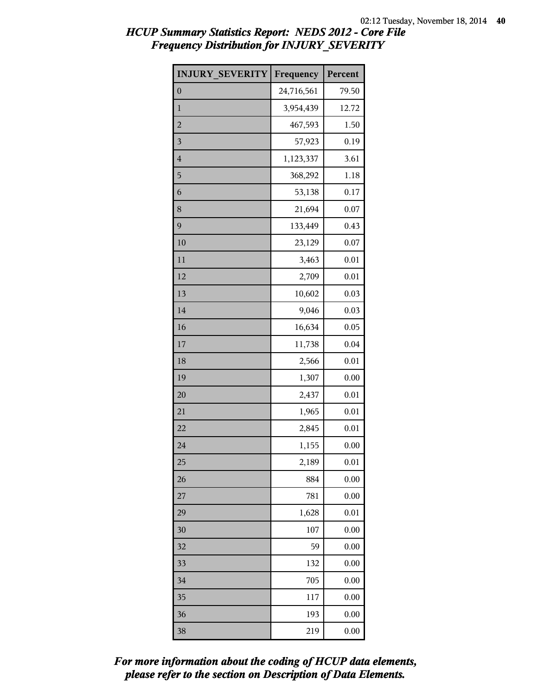| <b>INJURY SEVERITY</b>  | Frequency  | Percent |
|-------------------------|------------|---------|
| $\overline{0}$          | 24,716,561 | 79.50   |
| $\mathbf{1}$            | 3,954,439  | 12.72   |
| $\overline{2}$          | 467,593    | 1.50    |
| $\overline{\mathbf{3}}$ | 57,923     | 0.19    |
| $\overline{4}$          | 1,123,337  | 3.61    |
| 5                       | 368,292    | 1.18    |
| 6                       | 53,138     | 0.17    |
| 8                       | 21,694     | 0.07    |
| 9                       | 133,449    | 0.43    |
| 10                      | 23,129     | 0.07    |
| 11                      | 3,463      | 0.01    |
| 12                      | 2,709      | 0.01    |
| 13                      | 10,602     | 0.03    |
| 14                      | 9,046      | 0.03    |
| 16                      | 16,634     | 0.05    |

17 11,738 0.04 2,566 0.01

19 1,307 0.00 2,437 0.01 21 1,965 0.01 22 2,845 0.01 1,155 0.00

 2,189 0.01 884 0.00 781 0.00 1,628 0.01 107 0.00 59 0.00 132 0.00 705 0.00 117 0.00 193 0.00 219 0.00

#### *HCUP Summary Statistics Report: NEDS 2012 - Core File Frequency Distribution for INJURY\_SEVERITY*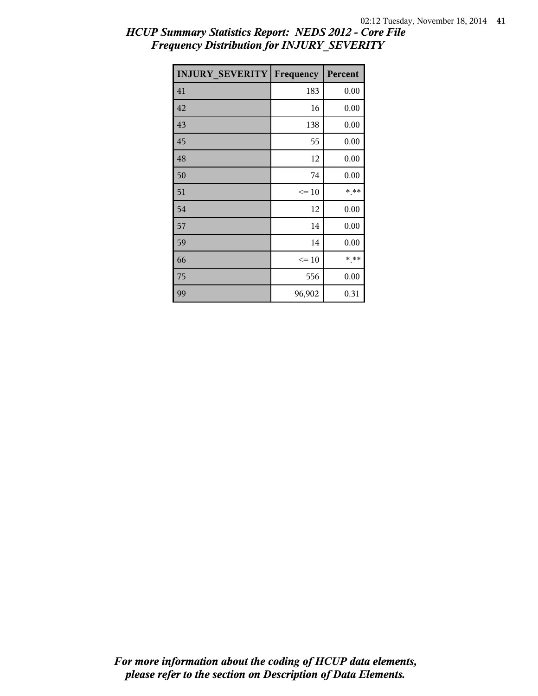| <b>INJURY SEVERITY</b> | Frequency | Percent |
|------------------------|-----------|---------|
| 41                     | 183       | 0.00    |
| 42                     | 16        | 0.00    |
| 43                     | 138       | 0.00    |
| 45                     | 55        | 0.00    |
| 48                     | 12        | 0.00    |
| 50                     | 74        | 0.00    |
| 51                     | $\leq 10$ | * **    |
| 54                     | 12        | 0.00    |
| 57                     | 14        | 0.00    |
| 59                     | 14        | 0.00    |
| 66                     | $\leq 10$ | * **    |
| 75                     | 556       | 0.00    |
| 99                     | 96,902    | 0.31    |

## *HCUP Summary Statistics Report: NEDS 2012 - Core File Frequency Distribution for INJURY\_SEVERITY*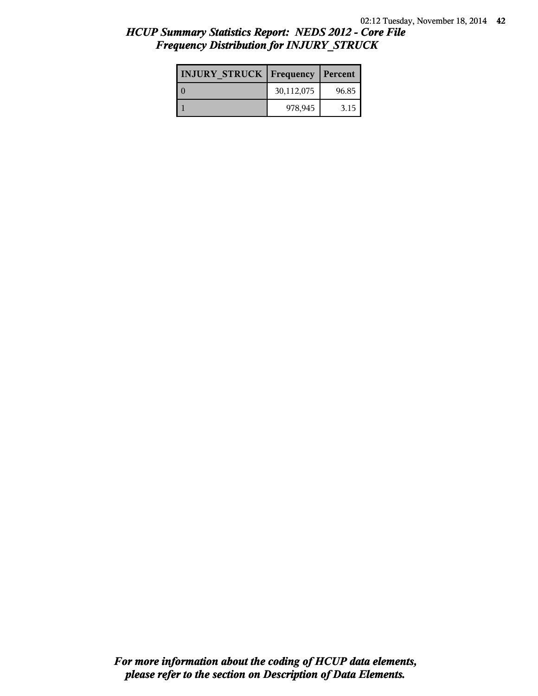| <b>INJURY STRUCK   Frequency</b> |            | Percent |
|----------------------------------|------------|---------|
|                                  | 30,112,075 | 96.85   |
|                                  | 978,945    | 3.15    |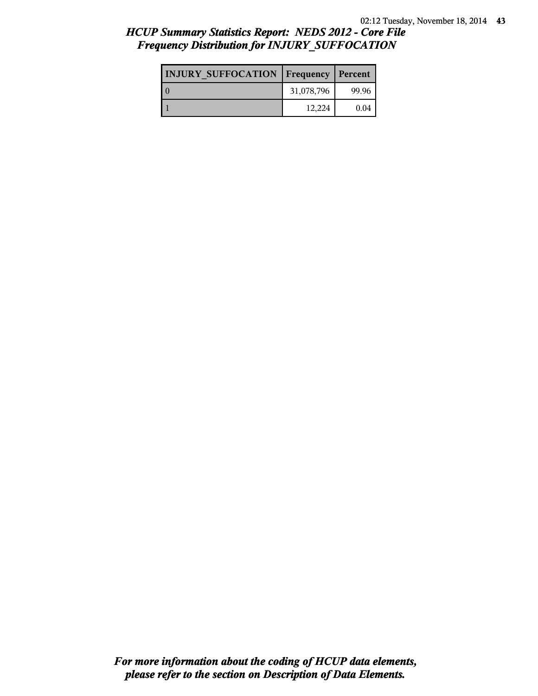## *HCUP Summary Statistics Report: NEDS 2012 - Core File Frequency Distribution for INJURY\_SUFFOCATION*

| <b>INJURY SUFFOCATION   Frequency   Percent</b> |            |       |
|-------------------------------------------------|------------|-------|
|                                                 | 31,078,796 | 99.96 |
|                                                 | 12,224     | 0.04  |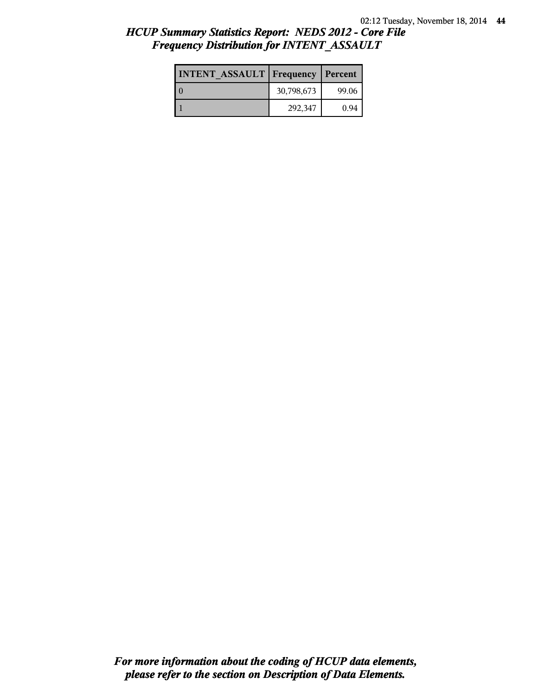| <b>INTENT ASSAULT Frequency</b> |            | Percent |
|---------------------------------|------------|---------|
|                                 | 30,798,673 | 99.06   |
|                                 | 292,347    | 0.94    |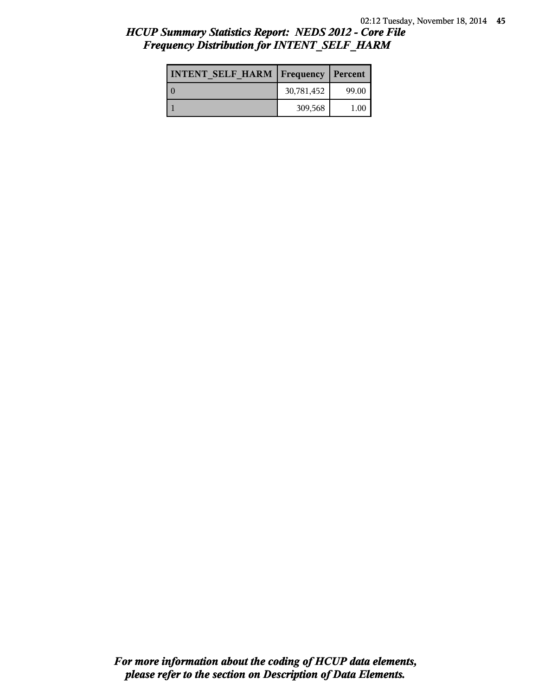# *HCUP Summary Statistics Report: NEDS 2012 - Core File Frequency Distribution for INTENT\_SELF\_HARM*

| <b>INTENT SELF HARM   Frequency   Percent</b> |            |       |
|-----------------------------------------------|------------|-------|
| l 0                                           | 30,781,452 | 99.00 |
|                                               | 309,568    | 1.00  |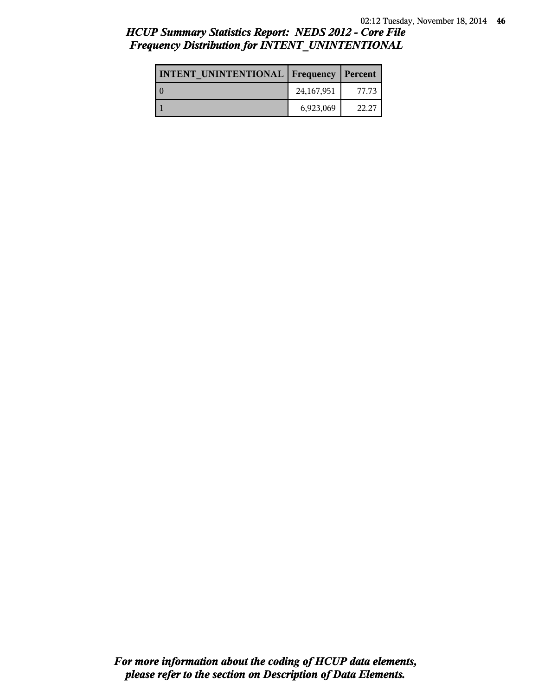# *HCUP Summary Statistics Report: NEDS 2012 - Core File Frequency Distribution for INTENT\_UNINTENTIONAL*

| <b>INTENT UNINTENTIONAL   Frequency   Percent</b> |            |       |
|---------------------------------------------------|------------|-------|
|                                                   | 24,167,951 | 77.73 |
|                                                   | 6,923,069  | 22.27 |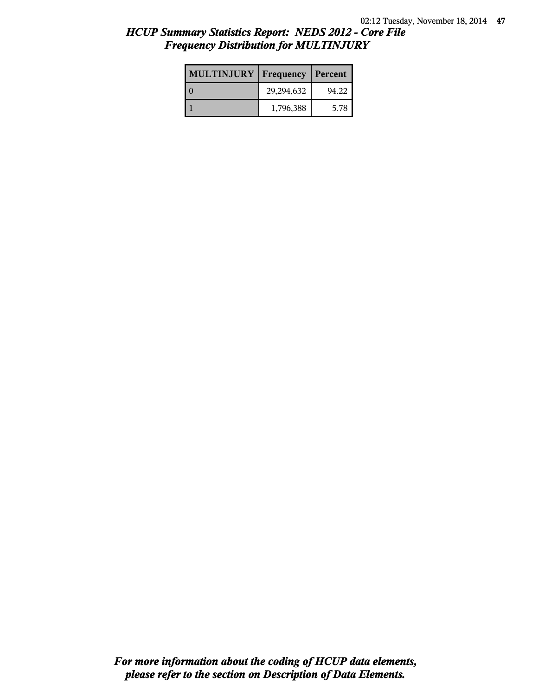| <b>MULTINJURY</b> | Frequency  | Percent |
|-------------------|------------|---------|
|                   | 29,294,632 | 94.22   |
|                   | 1,796,388  | 5.78    |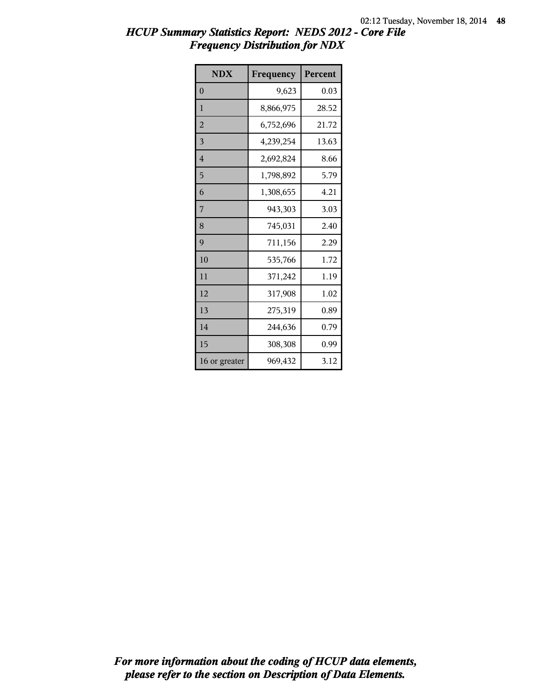| <b>NDX</b>     | Frequency | Percent |
|----------------|-----------|---------|
| $\overline{0}$ | 9,623     | 0.03    |
| $\mathbf{1}$   | 8,866,975 | 28.52   |
| $\overline{2}$ | 6,752,696 | 21.72   |
| 3              | 4,239,254 | 13.63   |
| $\overline{4}$ | 2,692,824 | 8.66    |
| 5              | 1,798,892 | 5.79    |
| 6              | 1,308,655 | 4.21    |
| 7              | 943,303   | 3.03    |
| 8              | 745,031   | 2.40    |
| 9              | 711,156   | 2.29    |
| 10             | 535,766   | 1.72    |
| 11             | 371,242   | 1.19    |
| 12             | 317,908   | 1.02    |
| 13             | 275,319   | 0.89    |
| 14             | 244,636   | 0.79    |
| 15             | 308,308   | 0.99    |
| 16 or greater  | 969,432   | 3.12    |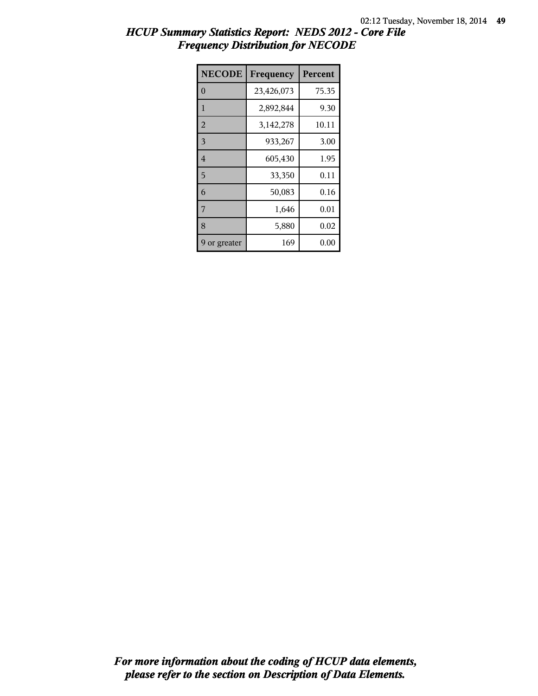| <b>NECODE</b>  | Frequency   | Percent |
|----------------|-------------|---------|
| $\theta$       | 23,426,073  | 75.35   |
| $\mathbf{1}$   | 2,892,844   | 9.30    |
| $\overline{2}$ | 3, 142, 278 | 10.11   |
| 3              | 933,267     | 3.00    |
| $\overline{4}$ | 605,430     | 1.95    |
| 5              | 33,350      | 0.11    |
| 6              | 50,083      | 0.16    |
| 7              | 1,646       | 0.01    |
| 8              | 5,880       | 0.02    |
| 9 or greater   | 169         | 0.00    |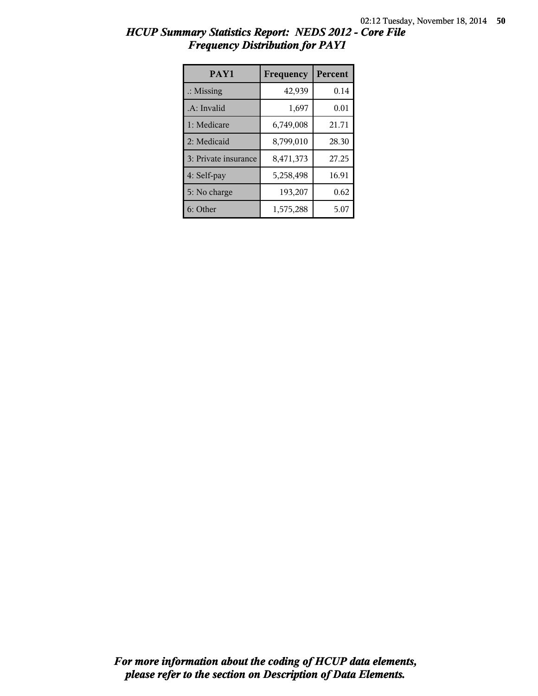| PAY1                 | Frequency | Percent |
|----------------------|-----------|---------|
| $\therefore$ Missing | 42,939    | 0.14    |
| .A: Invalid          | 1,697     | 0.01    |
| 1: Medicare          | 6,749,008 | 21.71   |
| 2: Medicaid          | 8,799,010 | 28.30   |
| 3: Private insurance | 8,471,373 | 27.25   |
| 4: Self-pay          | 5,258,498 | 16.91   |
| 5: No charge         | 193,207   | 0.62    |
| 6: Other             | 1,575,288 | 5.07    |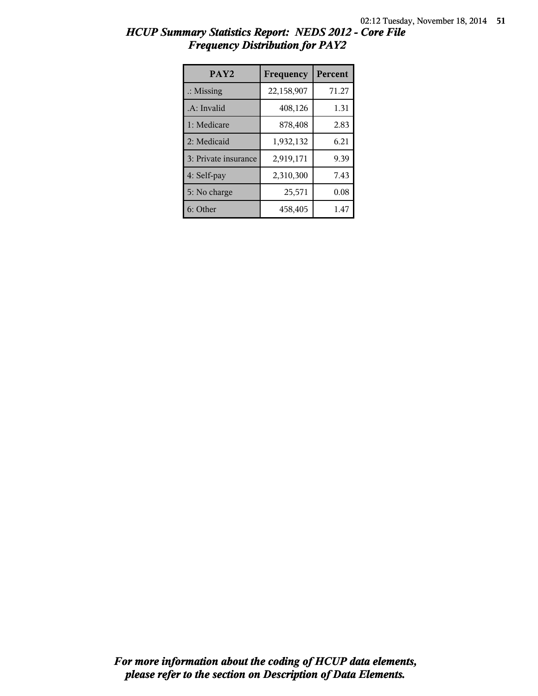| PAY <sub>2</sub>     | Frequency  | Percent |
|----------------------|------------|---------|
| $\therefore$ Missing | 22,158,907 | 71.27   |
| .A: Invalid          | 408,126    | 1.31    |
| 1: Medicare          | 878,408    | 2.83    |
| 2: Medicaid          | 1,932,132  | 6.21    |
| 3: Private insurance | 2,919,171  | 9.39    |
| 4: Self-pay          | 2,310,300  | 7.43    |
| 5: No charge         | 25,571     | 0.08    |
| 6: Other             | 458,405    | 1.47    |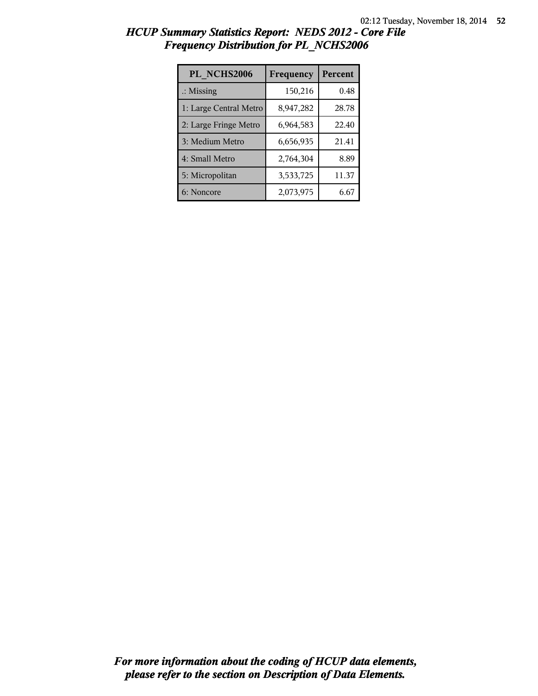| PL NCHS2006            | Frequency | Percent |
|------------------------|-----------|---------|
| $\therefore$ Missing   | 150,216   | 0.48    |
| 1: Large Central Metro | 8,947,282 | 28.78   |
| 2: Large Fringe Metro  | 6,964,583 | 22.40   |
| 3: Medium Metro        | 6,656,935 | 21.41   |
| 4: Small Metro         | 2,764,304 | 8.89    |
| 5: Micropolitan        | 3,533,725 | 11.37   |
| 6: Noncore             | 2,073,975 | 6.67    |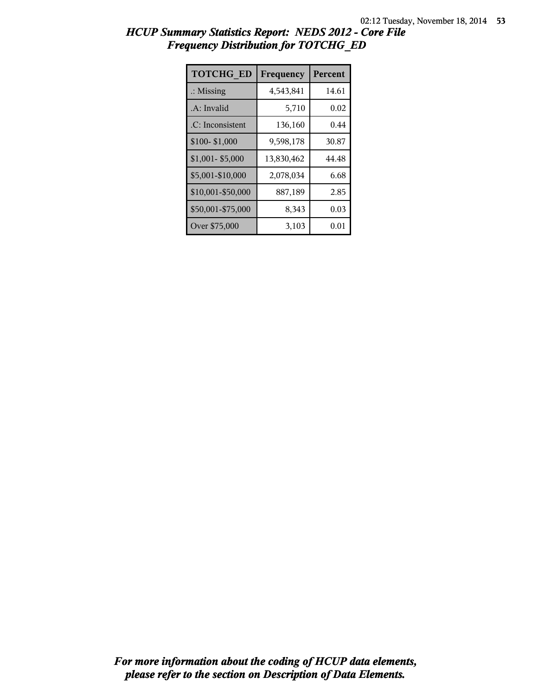| <b>TOTCHG ED</b>     | Frequency  | Percent |
|----------------------|------------|---------|
| $\therefore$ Missing | 4,543,841  | 14.61   |
| .A: Invalid          | 5,710      | 0.02    |
| .C: Inconsistent     | 136,160    | 0.44    |
| \$100-\$1,000        | 9,598,178  | 30.87   |
| $$1,001 - $5,000$    | 13,830,462 | 44.48   |
| \$5,001-\$10,000     | 2,078,034  | 6.68    |
| \$10,001-\$50,000    | 887,189    | 2.85    |
| \$50,001-\$75,000    | 8,343      | 0.03    |
| Over \$75,000        | 3,103      | 0.01    |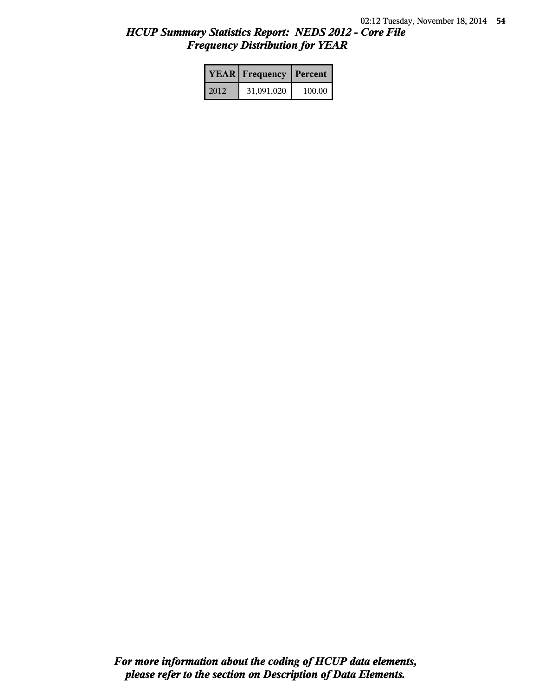|      | <b>YEAR</b> Frequency | Percent |
|------|-----------------------|---------|
| 2012 | 31,091,020            | 100.00  |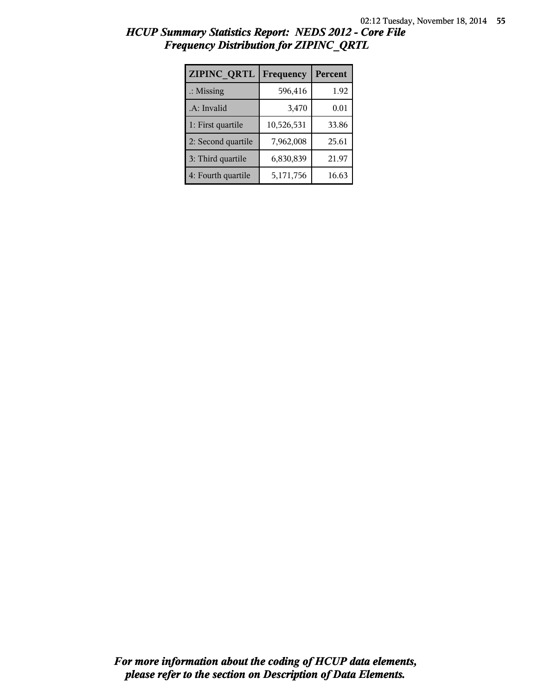| <b>ZIPINC QRTL</b>   | Frequency  | Percent |
|----------------------|------------|---------|
| $\therefore$ Missing | 596,416    | 1.92    |
| .A: Invalid          | 3,470      | 0.01    |
| 1: First quartile    | 10,526,531 | 33.86   |
| 2: Second quartile   | 7,962,008  | 25.61   |
| 3: Third quartile    | 6,830,839  | 21.97   |
| 4: Fourth quartile   | 5,171,756  | 16.63   |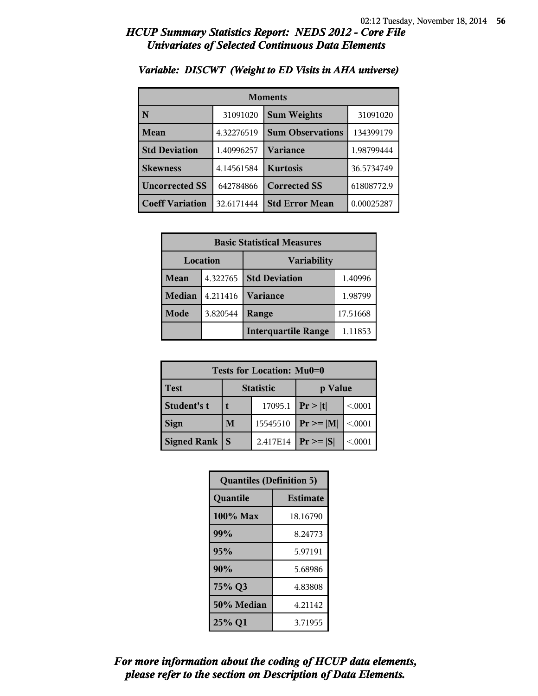| <b>Moments</b>         |            |                                |            |
|------------------------|------------|--------------------------------|------------|
| N                      | 31091020   | <b>Sum Weights</b><br>31091020 |            |
| Mean                   | 4.32276519 | <b>Sum Observations</b>        | 134399179  |
| <b>Std Deviation</b>   | 1.40996257 | Variance                       | 1.98799444 |
| <b>Skewness</b>        | 4.14561584 | <b>Kurtosis</b>                | 36.5734749 |
| <b>Uncorrected SS</b>  | 642784866  | <b>Corrected SS</b>            | 61808772.9 |
| <b>Coeff Variation</b> | 32.6171444 | <b>Std Error Mean</b>          | 0.00025287 |

#### *Variable: DISCWT (Weight to ED Visits in AHA universe)*

| <b>Basic Statistical Measures</b> |          |                            |          |
|-----------------------------------|----------|----------------------------|----------|
| Location<br><b>Variability</b>    |          |                            |          |
| <b>Mean</b>                       | 4.322765 | <b>Std Deviation</b>       | 1.40996  |
| <b>Median</b>                     | 4.211416 | <b>Variance</b>            | 1.98799  |
| Mode                              | 3.820544 | Range                      | 17.51668 |
|                                   |          | <b>Interquartile Range</b> | 1.11853  |

| <b>Tests for Location: Mu0=0</b> |                             |          |                |         |
|----------------------------------|-----------------------------|----------|----------------|---------|
| <b>Test</b>                      | <b>Statistic</b><br>p Value |          |                |         |
| Student's t                      | 17095.1                     |          | Pr >  t        | < 0001  |
| <b>Sign</b>                      | M                           | 15545510 | $Pr \ge =  M $ | < 0.001 |
| <b>Signed Rank   S</b>           |                             | 2.417E14 | $Pr \geq  S $  | < 0001  |

| <b>Quantiles (Definition 5)</b> |                 |  |
|---------------------------------|-----------------|--|
| Quantile                        | <b>Estimate</b> |  |
| $100\%$ Max                     | 18.16790        |  |
| 99%                             | 8.24773         |  |
| 95%                             | 5.97191         |  |
| 90%                             | 5.68986         |  |
| 75% Q3                          | 4.83808         |  |
| 50% Median                      | 4.21142         |  |
| 25% Q1                          | 3.71955         |  |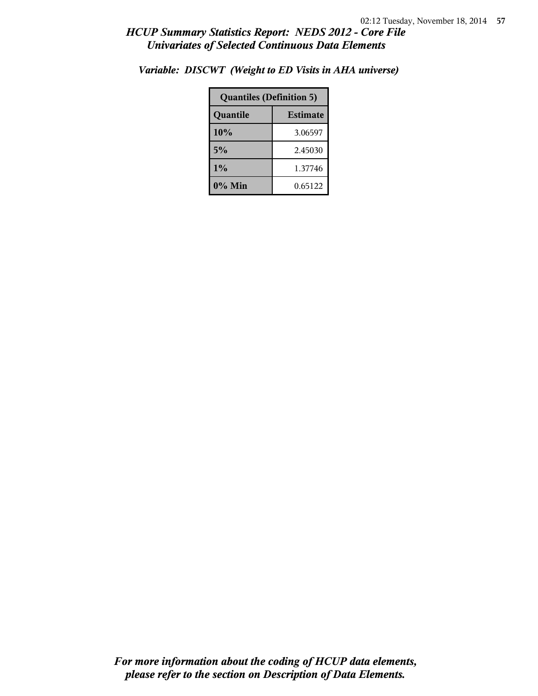| <b>Quantiles (Definition 5)</b> |  |  |  |
|---------------------------------|--|--|--|
| <b>Estimate</b><br>Quantile     |  |  |  |
| 10%<br>3.06597                  |  |  |  |
| 5%<br>2.45030                   |  |  |  |
| 1%<br>1.37746                   |  |  |  |
| $0\%$ Min<br>0.65122            |  |  |  |

*Variable: DISCWT (Weight to ED Visits in AHA universe)*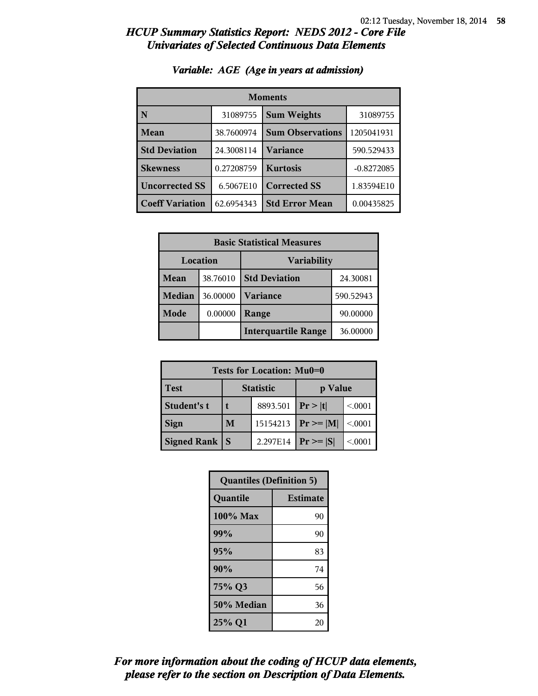| <b>Moments</b>         |            |                         |              |
|------------------------|------------|-------------------------|--------------|
| N                      | 31089755   | <b>Sum Weights</b>      | 31089755     |
| Mean                   | 38.7600974 | <b>Sum Observations</b> | 1205041931   |
| <b>Std Deviation</b>   | 24.3008114 | Variance                | 590.529433   |
| <b>Skewness</b>        | 0.27208759 | <b>Kurtosis</b>         | $-0.8272085$ |
| <b>Uncorrected SS</b>  | 6.5067E10  | <b>Corrected SS</b>     | 1.83594E10   |
| <b>Coeff Variation</b> | 62.6954343 | <b>Std Error Mean</b>   | 0.00435825   |

#### *Variable: AGE (Age in years at admission)*

| <b>Basic Statistical Measures</b> |          |                            |           |
|-----------------------------------|----------|----------------------------|-----------|
| Location<br><b>Variability</b>    |          |                            |           |
| Mean                              | 38.76010 | <b>Std Deviation</b>       | 24.30081  |
| Median                            | 36.00000 | <b>Variance</b>            | 590.52943 |
| Mode <sup>1</sup>                 | 0.00000  | Range                      | 90.00000  |
|                                   |          | <b>Interquartile Range</b> | 36.00000  |

| Tests for Location: Mu0=0 |                             |  |                |         |
|---------------------------|-----------------------------|--|----------------|---------|
| <b>Test</b>               | <b>Statistic</b><br>p Value |  |                |         |
| Student's t               | 8893.501                    |  | Pr >  t        | < 0001  |
| <b>Sign</b>               | 15154213<br>M               |  | $Pr \ge =  M $ | < 0.001 |
| Signed Rank               | 2.297E14<br>S               |  | $Pr \geq  S $  | < 0001  |

| <b>Quantiles (Definition 5)</b> |                 |  |
|---------------------------------|-----------------|--|
| Quantile                        | <b>Estimate</b> |  |
| 100% Max                        | 90              |  |
| 99%                             | 90              |  |
| 95%                             | 83              |  |
| 90%                             | 74              |  |
| 75% Q3<br>56                    |                 |  |
| 50% Median                      | 36              |  |
| 25% Q1<br>20                    |                 |  |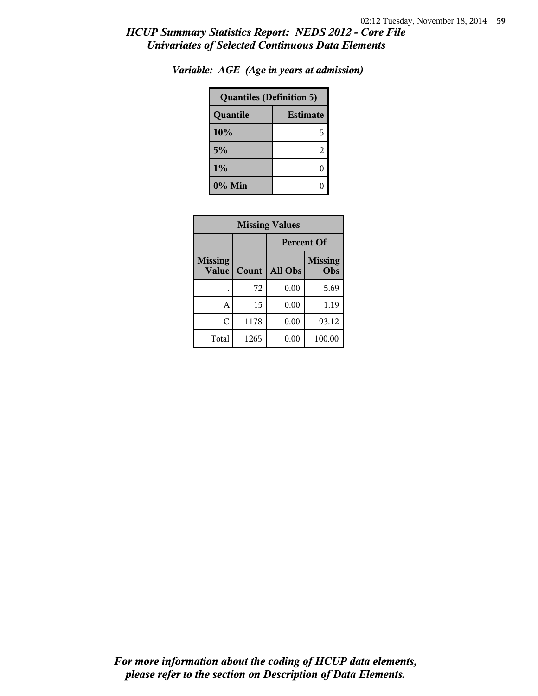| <b>Quantiles (Definition 5)</b> |   |  |
|---------------------------------|---|--|
| <b>Estimate</b><br>Quantile     |   |  |
| 10%                             | 5 |  |
| 5%                              | 2 |  |
| 1%                              |   |  |
| 0% Min                          |   |  |

*Variable: AGE (Age in years at admission)*

| <b>Missing Values</b>   |       |                   |                       |  |
|-------------------------|-------|-------------------|-----------------------|--|
|                         |       | <b>Percent Of</b> |                       |  |
| <b>Missing</b><br>Value | Count | All Obs           | <b>Missing</b><br>Obs |  |
|                         | 72    | 0.00              | 5.69                  |  |
| A                       | 15    | 0.00              | 1.19                  |  |
| C                       | 1178  | 0.00              | 93.12                 |  |
| Total                   | 1265  | 0.00              | 100.00                |  |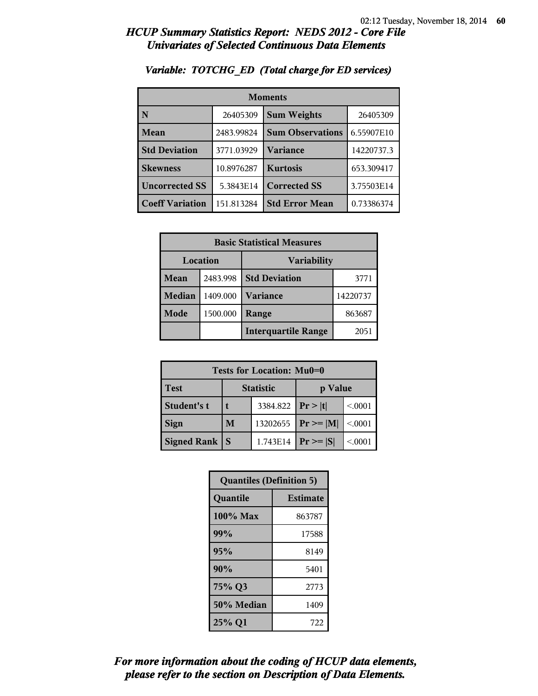| <b>Moments</b>          |            |                         |            |  |
|-------------------------|------------|-------------------------|------------|--|
| $\overline{\mathbf{N}}$ | 26405309   | <b>Sum Weights</b>      | 26405309   |  |
| Mean                    | 2483.99824 | <b>Sum Observations</b> | 6.55907E10 |  |
| <b>Std Deviation</b>    | 3771.03929 | <b>Variance</b>         | 14220737.3 |  |
| <b>Skewness</b>         | 10.8976287 | <b>Kurtosis</b>         | 653.309417 |  |
| <b>Uncorrected SS</b>   | 5.3843E14  | <b>Corrected SS</b>     | 3.75503E14 |  |
| <b>Coeff Variation</b>  | 151.813284 | <b>Std Error Mean</b>   | 0.73386374 |  |

#### *Variable: TOTCHG\_ED (Total charge for ED services)*

| <b>Basic Statistical Measures</b> |          |                             |      |
|-----------------------------------|----------|-----------------------------|------|
| Location<br>Variability           |          |                             |      |
| <b>Mean</b>                       | 2483.998 | <b>Std Deviation</b>        | 3771 |
| <b>Median</b>                     | 1409.000 | <b>Variance</b><br>14220737 |      |
| Mode                              | 1500.000 | 863687<br>Range             |      |
|                                   |          | <b>Interquartile Range</b>  | 2051 |

| Tests for Location: Mu0=0 |                             |  |                 |          |
|---------------------------|-----------------------------|--|-----------------|----------|
| <b>Test</b>               | <b>Statistic</b><br>p Value |  |                 |          |
| Student's t               | 3384.822                    |  | Pr >  t         | < 0001   |
| <b>Sign</b>               | 13202655<br>M               |  | $ Pr \ge =  M $ | < 0.001  |
| Signed Rank               | 1.743E14                    |  | $Pr \geq  S $   | < 0.0001 |

| <b>Quantiles (Definition 5)</b> |                 |  |
|---------------------------------|-----------------|--|
| Quantile                        | <b>Estimate</b> |  |
| 100% Max                        | 863787          |  |
| 99%                             | 17588           |  |
| 95%                             | 8149            |  |
| 90%                             | 5401            |  |
| 75% Q3<br>2773                  |                 |  |
| 50% Median<br>1409              |                 |  |
| 25% Q1                          | 722             |  |